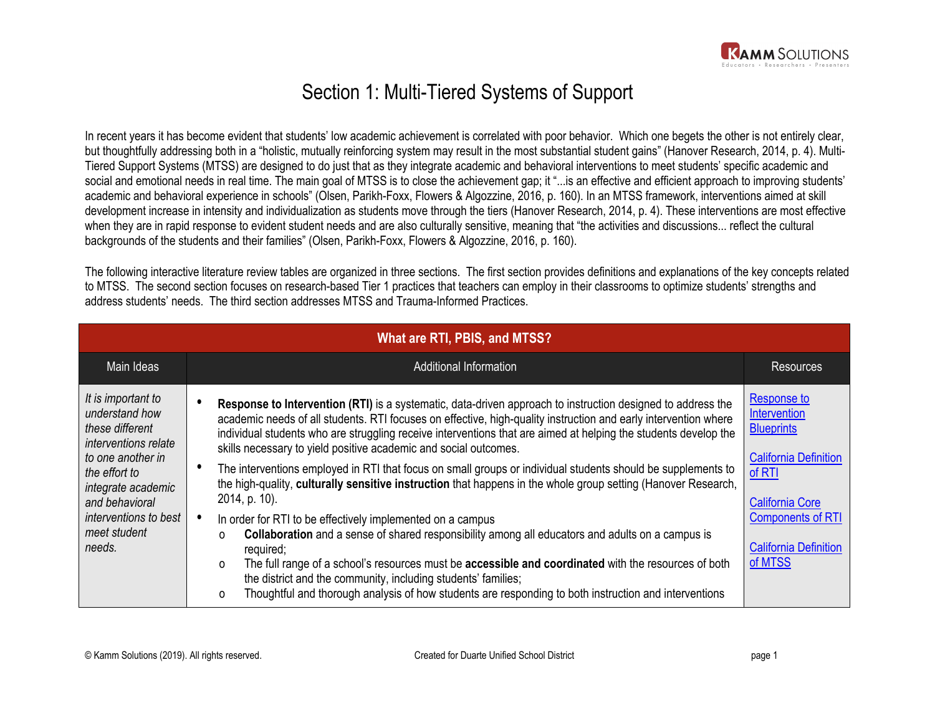

## Section 1: Multi-Tiered Systems of Support

In recent years it has become evident that students' low academic achievement is correlated with poor behavior. Which one begets the other is not entirely clear, but thoughtfully addressing both in a "holistic, mutually reinforcing system may result in the most substantial student gains" (Hanover Research, 2014, p. 4). Multi-Tiered Support Systems (MTSS) are designed to do just that as they integrate academic and behavioral interventions to meet students' specific academic and social and emotional needs in real time. The main goal of MTSS is to close the achievement gap; it "...is an effective and efficient approach to improving students' academic and behavioral experience in schools" (Olsen, Parikh-Foxx, Flowers & Algozzine, 2016, p. 160). In an MTSS framework, interventions aimed at skill development increase in intensity and individualization as students move through the tiers (Hanover Research, 2014, p. 4). These interventions are most effective when they are in rapid response to evident student needs and are also culturally sensitive, meaning that "the activities and discussions... reflect the cultural backgrounds of the students and their families" (Olsen, Parikh-Foxx, Flowers & Algozzine, 2016, p. 160).

The following interactive literature review tables are organized in three sections. The first section provides definitions and explanations of the key concepts related to MTSS. The second section focuses on research-based Tier 1 practices that teachers can employ in their classrooms to optimize students' strengths and address students' needs. The third section addresses MTSS and Trauma-Informed Practices.

| What are RTI, PBIS, and MTSS?                                                                                                                                                                                           |                                                                                                                                                                                                                                                                                                                                                                                                                                                                                                                                                                                                                                                                                                                                                                                                                                                                                                                                                                                                                                                                                                                                                                            |                                                                                                                                                                                             |
|-------------------------------------------------------------------------------------------------------------------------------------------------------------------------------------------------------------------------|----------------------------------------------------------------------------------------------------------------------------------------------------------------------------------------------------------------------------------------------------------------------------------------------------------------------------------------------------------------------------------------------------------------------------------------------------------------------------------------------------------------------------------------------------------------------------------------------------------------------------------------------------------------------------------------------------------------------------------------------------------------------------------------------------------------------------------------------------------------------------------------------------------------------------------------------------------------------------------------------------------------------------------------------------------------------------------------------------------------------------------------------------------------------------|---------------------------------------------------------------------------------------------------------------------------------------------------------------------------------------------|
| Main Ideas                                                                                                                                                                                                              | Additional Information                                                                                                                                                                                                                                                                                                                                                                                                                                                                                                                                                                                                                                                                                                                                                                                                                                                                                                                                                                                                                                                                                                                                                     | <b>Resources</b>                                                                                                                                                                            |
| It is important to<br>understand how<br>these different<br><i>interventions relate</i><br>to one another in<br>the effort to<br>integrate academic<br>and behavioral<br>interventions to best<br>meet student<br>needs. | <b>Response to Intervention (RTI)</b> is a systematic, data-driven approach to instruction designed to address the<br>academic needs of all students. RTI focuses on effective, high-quality instruction and early intervention where<br>individual students who are struggling receive interventions that are aimed at helping the students develop the<br>skills necessary to yield positive academic and social outcomes.<br>The interventions employed in RTI that focus on small groups or individual students should be supplements to<br>the high-quality, culturally sensitive instruction that happens in the whole group setting (Hanover Research,<br>2014, p. 10).<br>In order for RTI to be effectively implemented on a campus<br>Collaboration and a sense of shared responsibility among all educators and adults on a campus is<br>$\circ$<br>required;<br>The full range of a school's resources must be accessible and coordinated with the resources of both<br>$\circ$<br>the district and the community, including students' families;<br>Thoughtful and thorough analysis of how students are responding to both instruction and interventions<br>0 | Response to<br>Intervention<br><b>Blueprints</b><br><b>California Definition</b><br>of RTI<br><b>California Core</b><br><b>Components of RTI</b><br><b>California Definition</b><br>of MTSS |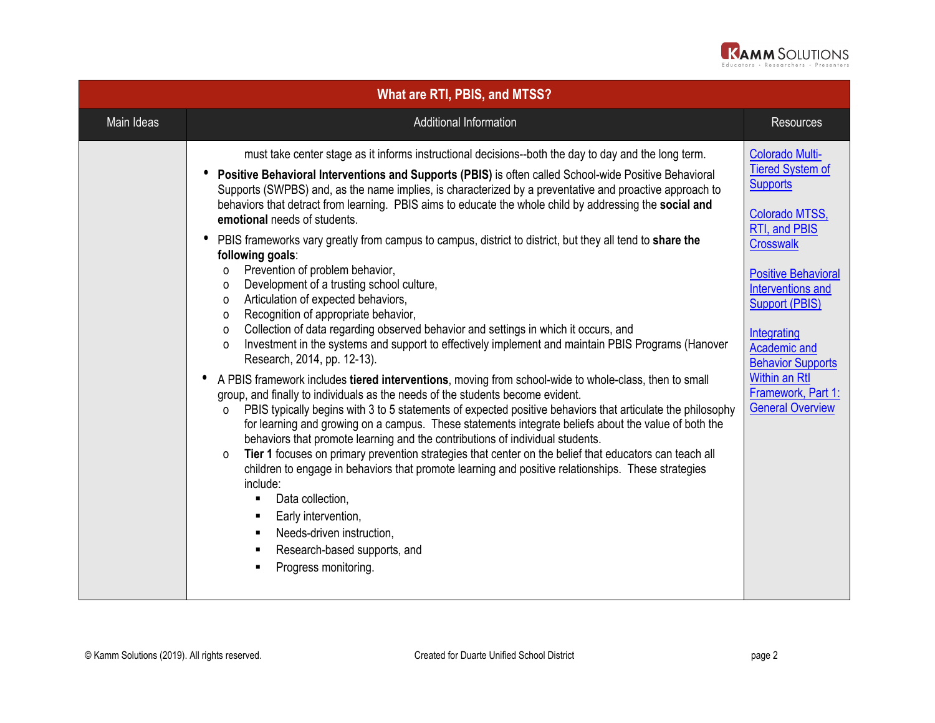

| What are RTI, PBIS, and MTSS? |                                                                                                                                                                                                                                                                                                                                                                                                                                                                                                                                                                                                                                                                                                                                                                                                                                                                                                                                                                                                                                                                                                                                                                                                                                                                                                                                                                                                                                                                                                                                                                                                                                                                                                                                                                                                                                                                                                                                                               |                                                                                                                                                                                                                                                                                                                                                    |
|-------------------------------|---------------------------------------------------------------------------------------------------------------------------------------------------------------------------------------------------------------------------------------------------------------------------------------------------------------------------------------------------------------------------------------------------------------------------------------------------------------------------------------------------------------------------------------------------------------------------------------------------------------------------------------------------------------------------------------------------------------------------------------------------------------------------------------------------------------------------------------------------------------------------------------------------------------------------------------------------------------------------------------------------------------------------------------------------------------------------------------------------------------------------------------------------------------------------------------------------------------------------------------------------------------------------------------------------------------------------------------------------------------------------------------------------------------------------------------------------------------------------------------------------------------------------------------------------------------------------------------------------------------------------------------------------------------------------------------------------------------------------------------------------------------------------------------------------------------------------------------------------------------------------------------------------------------------------------------------------------------|----------------------------------------------------------------------------------------------------------------------------------------------------------------------------------------------------------------------------------------------------------------------------------------------------------------------------------------------------|
| Main Ideas                    | Additional Information                                                                                                                                                                                                                                                                                                                                                                                                                                                                                                                                                                                                                                                                                                                                                                                                                                                                                                                                                                                                                                                                                                                                                                                                                                                                                                                                                                                                                                                                                                                                                                                                                                                                                                                                                                                                                                                                                                                                        | <b>Resources</b>                                                                                                                                                                                                                                                                                                                                   |
|                               | must take center stage as it informs instructional decisions--both the day to day and the long term.<br>Positive Behavioral Interventions and Supports (PBIS) is often called School-wide Positive Behavioral<br>Supports (SWPBS) and, as the name implies, is characterized by a preventative and proactive approach to<br>behaviors that detract from learning. PBIS aims to educate the whole child by addressing the social and<br>emotional needs of students.<br>PBIS frameworks vary greatly from campus to campus, district to district, but they all tend to share the<br>following goals:<br>Prevention of problem behavior,<br>$\Omega$<br>Development of a trusting school culture,<br>$\Omega$<br>Articulation of expected behaviors,<br>$\circ$<br>Recognition of appropriate behavior,<br>0<br>Collection of data regarding observed behavior and settings in which it occurs, and<br>$\mathsf{o}\xspace$<br>Investment in the systems and support to effectively implement and maintain PBIS Programs (Hanover<br>$\Omega$<br>Research, 2014, pp. 12-13).<br>A PBIS framework includes tiered interventions, moving from school-wide to whole-class, then to small<br>٠<br>group, and finally to individuals as the needs of the students become evident.<br>PBIS typically begins with 3 to 5 statements of expected positive behaviors that articulate the philosophy<br>$\Omega$<br>for learning and growing on a campus. These statements integrate beliefs about the value of both the<br>behaviors that promote learning and the contributions of individual students.<br>Tier 1 focuses on primary prevention strategies that center on the belief that educators can teach all<br>0<br>children to engage in behaviors that promote learning and positive relationships. These strategies<br>include:<br>Data collection,<br>Early intervention,<br>Needs-driven instruction,<br>Research-based supports, and<br>Progress monitoring. | <b>Colorado Multi-</b><br><b>Tiered System of</b><br><b>Supports</b><br>Colorado MTSS,<br>RTI, and PBIS<br><b>Crosswalk</b><br><b>Positive Behavioral</b><br>Interventions and<br><b>Support (PBIS)</b><br>Integrating<br><b>Academic and</b><br><b>Behavior Supports</b><br><b>Within an Rtl</b><br>Framework, Part 1:<br><b>General Overview</b> |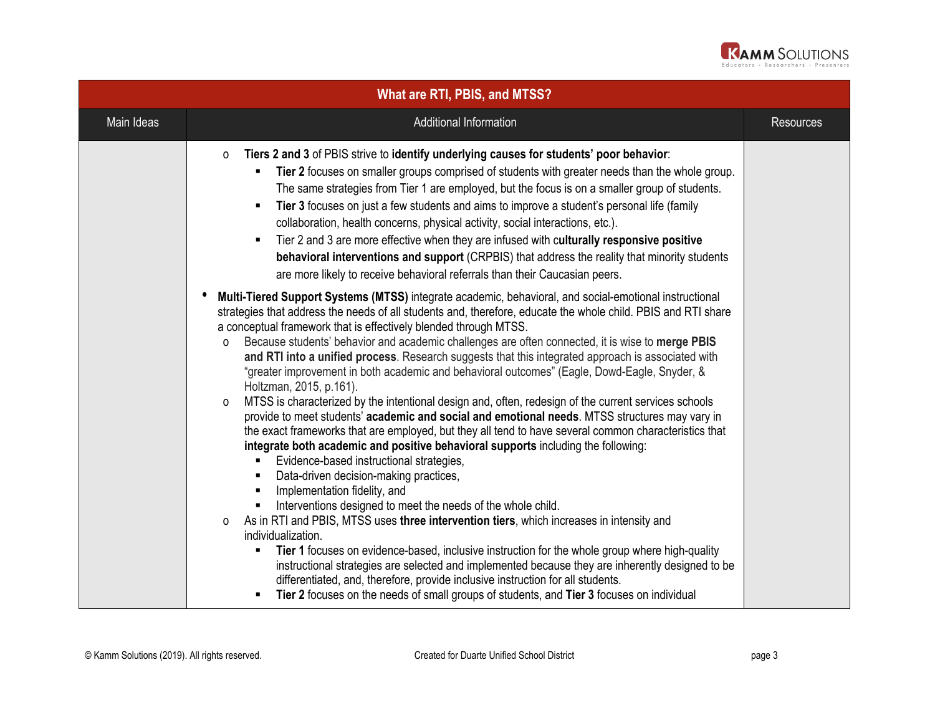

| <b>What are RTI, PBIS, and MTSS?</b> |                                                                                                                                                                                                                                                                                                                                                                                                                                                                                                                                                                                                                                                                                                                                                                                                                                                                                                                                                                                                                                                                                                                                                                                                                                                                                                                                                                                                                                                                                                                                                                                                                                                                                                                                                              |                  |
|--------------------------------------|--------------------------------------------------------------------------------------------------------------------------------------------------------------------------------------------------------------------------------------------------------------------------------------------------------------------------------------------------------------------------------------------------------------------------------------------------------------------------------------------------------------------------------------------------------------------------------------------------------------------------------------------------------------------------------------------------------------------------------------------------------------------------------------------------------------------------------------------------------------------------------------------------------------------------------------------------------------------------------------------------------------------------------------------------------------------------------------------------------------------------------------------------------------------------------------------------------------------------------------------------------------------------------------------------------------------------------------------------------------------------------------------------------------------------------------------------------------------------------------------------------------------------------------------------------------------------------------------------------------------------------------------------------------------------------------------------------------------------------------------------------------|------------------|
| Main Ideas                           | Additional Information                                                                                                                                                                                                                                                                                                                                                                                                                                                                                                                                                                                                                                                                                                                                                                                                                                                                                                                                                                                                                                                                                                                                                                                                                                                                                                                                                                                                                                                                                                                                                                                                                                                                                                                                       | <b>Resources</b> |
|                                      | Tiers 2 and 3 of PBIS strive to identify underlying causes for students' poor behavior:<br>0<br>Tier 2 focuses on smaller groups comprised of students with greater needs than the whole group.<br>The same strategies from Tier 1 are employed, but the focus is on a smaller group of students.<br>Tier 3 focuses on just a few students and aims to improve a student's personal life (family<br>collaboration, health concerns, physical activity, social interactions, etc.).<br>Tier 2 and 3 are more effective when they are infused with culturally responsive positive<br>behavioral interventions and support (CRPBIS) that address the reality that minority students<br>are more likely to receive behavioral referrals than their Caucasian peers.                                                                                                                                                                                                                                                                                                                                                                                                                                                                                                                                                                                                                                                                                                                                                                                                                                                                                                                                                                                              |                  |
|                                      | Multi-Tiered Support Systems (MTSS) integrate academic, behavioral, and social-emotional instructional<br>strategies that address the needs of all students and, therefore, educate the whole child. PBIS and RTI share<br>a conceptual framework that is effectively blended through MTSS.<br>Because students' behavior and academic challenges are often connected, it is wise to merge PBIS<br>0<br>and RTI into a unified process. Research suggests that this integrated approach is associated with<br>"greater improvement in both academic and behavioral outcomes" (Eagle, Dowd-Eagle, Snyder, &<br>Holtzman, 2015, p.161).<br>MTSS is characterized by the intentional design and, often, redesign of the current services schools<br>$\Omega$<br>provide to meet students' academic and social and emotional needs. MTSS structures may vary in<br>the exact frameworks that are employed, but they all tend to have several common characteristics that<br>integrate both academic and positive behavioral supports including the following:<br>Evidence-based instructional strategies,<br>Data-driven decision-making practices,<br>Implementation fidelity, and<br>Interventions designed to meet the needs of the whole child.<br>As in RTI and PBIS, MTSS uses three intervention tiers, which increases in intensity and<br>0<br>individualization.<br>Tier 1 focuses on evidence-based, inclusive instruction for the whole group where high-quality<br>instructional strategies are selected and implemented because they are inherently designed to be<br>differentiated, and, therefore, provide inclusive instruction for all students.<br>Tier 2 focuses on the needs of small groups of students, and Tier 3 focuses on individual |                  |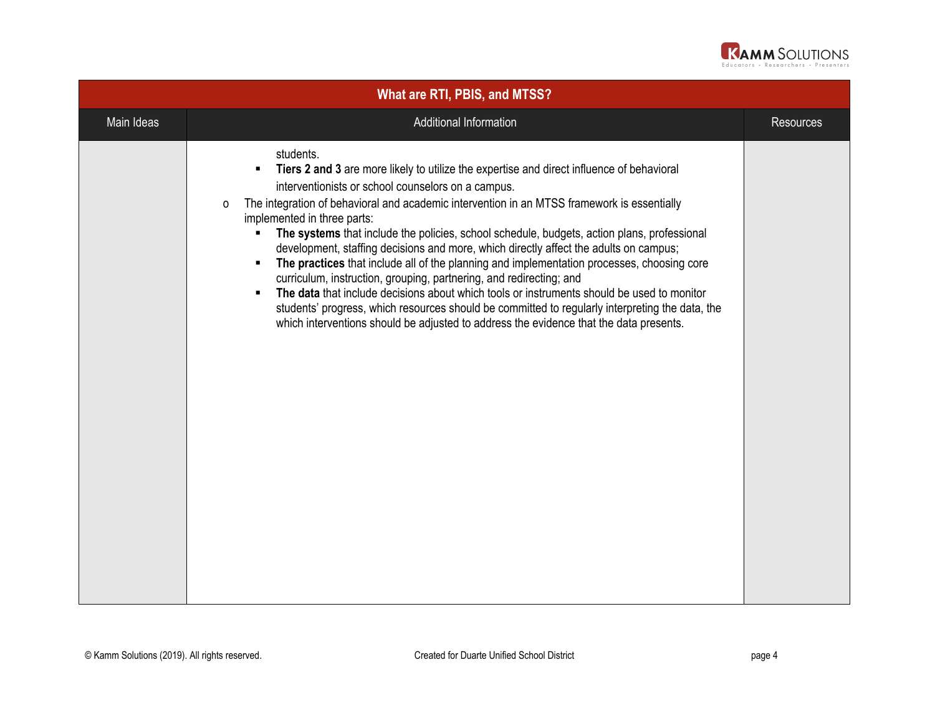

| What are RTI, PBIS, and MTSS? |                                                                                                                                                                                                                                                                                                                                                                                                                                                                                                                                                                                                                                                                                                                                                                                                                                                                                                                                                                           |                  |
|-------------------------------|---------------------------------------------------------------------------------------------------------------------------------------------------------------------------------------------------------------------------------------------------------------------------------------------------------------------------------------------------------------------------------------------------------------------------------------------------------------------------------------------------------------------------------------------------------------------------------------------------------------------------------------------------------------------------------------------------------------------------------------------------------------------------------------------------------------------------------------------------------------------------------------------------------------------------------------------------------------------------|------------------|
| Main Ideas                    | Additional Information                                                                                                                                                                                                                                                                                                                                                                                                                                                                                                                                                                                                                                                                                                                                                                                                                                                                                                                                                    | <b>Resources</b> |
|                               | students.<br>Tiers 2 and 3 are more likely to utilize the expertise and direct influence of behavioral<br>interventionists or school counselors on a campus.<br>The integration of behavioral and academic intervention in an MTSS framework is essentially<br>0<br>implemented in three parts:<br>The systems that include the policies, school schedule, budgets, action plans, professional<br>development, staffing decisions and more, which directly affect the adults on campus;<br>The practices that include all of the planning and implementation processes, choosing core<br>$\blacksquare$<br>curriculum, instruction, grouping, partnering, and redirecting; and<br>The data that include decisions about which tools or instruments should be used to monitor<br>students' progress, which resources should be committed to regularly interpreting the data, the<br>which interventions should be adjusted to address the evidence that the data presents. |                  |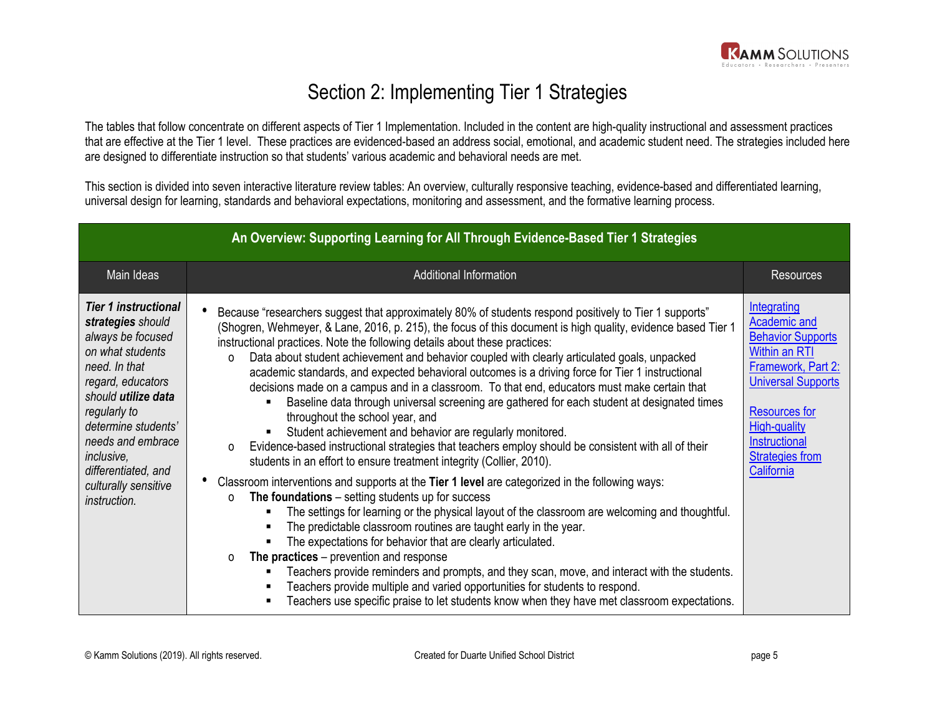## Section 2: Implementing Tier 1 Strategies

The tables that follow concentrate on different aspects of Tier 1 Implementation. Included in the content are high-quality instructional and assessment practices that are effective at the Tier 1 level. These practices are evidenced-based an address social, emotional, and academic student need. The strategies included here are designed to differentiate instruction so that students' various academic and behavioral needs are met.

This section is divided into seven interactive literature review tables: An overview, culturally responsive teaching, evidence-based and differentiated learning, universal design for learning, standards and behavioral expectations, monitoring and assessment, and the formative learning process.

| An Overview: Supporting Learning for All Through Evidence-Based Tier 1 Strategies                                                                                                                                                                                                               |                                                                                                                                                                                                                                                                                                                                                                                                                                                                                                                                                                                                                                                                                                                                                                                                                                                                                                                                                                                                                                                                                                                                                                                                                                                                                                                                                                                                                                                                                                                                                                                                                                                                                                                                                           |                                                                                                                                                                                                                                            |
|-------------------------------------------------------------------------------------------------------------------------------------------------------------------------------------------------------------------------------------------------------------------------------------------------|-----------------------------------------------------------------------------------------------------------------------------------------------------------------------------------------------------------------------------------------------------------------------------------------------------------------------------------------------------------------------------------------------------------------------------------------------------------------------------------------------------------------------------------------------------------------------------------------------------------------------------------------------------------------------------------------------------------------------------------------------------------------------------------------------------------------------------------------------------------------------------------------------------------------------------------------------------------------------------------------------------------------------------------------------------------------------------------------------------------------------------------------------------------------------------------------------------------------------------------------------------------------------------------------------------------------------------------------------------------------------------------------------------------------------------------------------------------------------------------------------------------------------------------------------------------------------------------------------------------------------------------------------------------------------------------------------------------------------------------------------------------|--------------------------------------------------------------------------------------------------------------------------------------------------------------------------------------------------------------------------------------------|
| Main Ideas                                                                                                                                                                                                                                                                                      | Additional Information                                                                                                                                                                                                                                                                                                                                                                                                                                                                                                                                                                                                                                                                                                                                                                                                                                                                                                                                                                                                                                                                                                                                                                                                                                                                                                                                                                                                                                                                                                                                                                                                                                                                                                                                    | <b>Resources</b>                                                                                                                                                                                                                           |
| <b>Tier 1 instructional</b><br>strategies should<br>always be focused<br>on what students<br>need. In that<br>regard, educators<br>should utilize data<br>regularly to<br>determine students'<br>needs and embrace<br>inclusive,<br>differentiated, and<br>culturally sensitive<br>instruction. | Because "researchers suggest that approximately 80% of students respond positively to Tier 1 supports"<br>(Shogren, Wehmeyer, & Lane, 2016, p. 215), the focus of this document is high quality, evidence based Tier 1<br>instructional practices. Note the following details about these practices:<br>Data about student achievement and behavior coupled with clearly articulated goals, unpacked<br>$\Omega$<br>academic standards, and expected behavioral outcomes is a driving force for Tier 1 instructional<br>decisions made on a campus and in a classroom. To that end, educators must make certain that<br>Baseline data through universal screening are gathered for each student at designated times<br>٠<br>throughout the school year, and<br>Student achievement and behavior are regularly monitored.<br>Evidence-based instructional strategies that teachers employ should be consistent with all of their<br>0<br>students in an effort to ensure treatment integrity (Collier, 2010).<br>Classroom interventions and supports at the Tier 1 level are categorized in the following ways:<br>The foundations $-$ setting students up for success<br>O<br>The settings for learning or the physical layout of the classroom are welcoming and thoughtful.<br>The predictable classroom routines are taught early in the year.<br>The expectations for behavior that are clearly articulated.<br>The practices $-$ prevention and response<br>$\Omega$<br>Teachers provide reminders and prompts, and they scan, move, and interact with the students.<br>Teachers provide multiple and varied opportunities for students to respond.<br>Teachers use specific praise to let students know when they have met classroom expectations. | Integrating<br><b>Academic and</b><br><b>Behavior Supports</b><br><b>Within an RTI</b><br>Framework, Part 2:<br><b>Universal Supports</b><br><b>Resources for</b><br>High-quality<br>Instructional<br><b>Strategies from</b><br>California |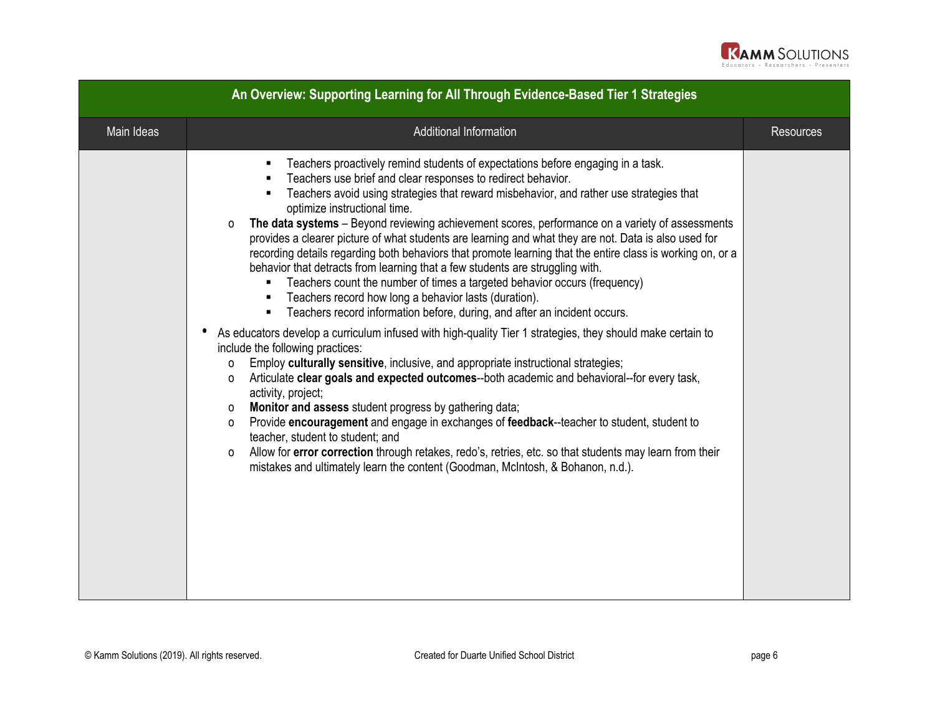

| An Overview: Supporting Learning for All Through Evidence-Based Tier 1 Strategies |                                                                                                                                                                                                                                                                                                                                                                                                                                                                                                                                                                                                                                                                                                                                                                                                                                                                                                                                                                                                                                                                                                                                                                                                                                                                                                                                                                                                                                                                                                                                                                                                                                                                                                           |                  |
|-----------------------------------------------------------------------------------|-----------------------------------------------------------------------------------------------------------------------------------------------------------------------------------------------------------------------------------------------------------------------------------------------------------------------------------------------------------------------------------------------------------------------------------------------------------------------------------------------------------------------------------------------------------------------------------------------------------------------------------------------------------------------------------------------------------------------------------------------------------------------------------------------------------------------------------------------------------------------------------------------------------------------------------------------------------------------------------------------------------------------------------------------------------------------------------------------------------------------------------------------------------------------------------------------------------------------------------------------------------------------------------------------------------------------------------------------------------------------------------------------------------------------------------------------------------------------------------------------------------------------------------------------------------------------------------------------------------------------------------------------------------------------------------------------------------|------------------|
| Main Ideas                                                                        | Additional Information                                                                                                                                                                                                                                                                                                                                                                                                                                                                                                                                                                                                                                                                                                                                                                                                                                                                                                                                                                                                                                                                                                                                                                                                                                                                                                                                                                                                                                                                                                                                                                                                                                                                                    | <b>Resources</b> |
|                                                                                   | Teachers proactively remind students of expectations before engaging in a task.<br>Teachers use brief and clear responses to redirect behavior.<br>Teachers avoid using strategies that reward misbehavior, and rather use strategies that<br>optimize instructional time.<br>The data systems - Beyond reviewing achievement scores, performance on a variety of assessments<br>$\Omega$<br>provides a clearer picture of what students are learning and what they are not. Data is also used for<br>recording details regarding both behaviors that promote learning that the entire class is working on, or a<br>behavior that detracts from learning that a few students are struggling with.<br>Teachers count the number of times a targeted behavior occurs (frequency)<br>Teachers record how long a behavior lasts (duration).<br>Teachers record information before, during, and after an incident occurs.<br>As educators develop a curriculum infused with high-quality Tier 1 strategies, they should make certain to<br>include the following practices:<br>Employ culturally sensitive, inclusive, and appropriate instructional strategies;<br>$\Omega$<br>Articulate clear goals and expected outcomes--both academic and behavioral--for every task,<br>0<br>activity, project;<br>Monitor and assess student progress by gathering data;<br>0<br>Provide encouragement and engage in exchanges of feedback--teacher to student, student to<br>0<br>teacher, student to student; and<br>Allow for error correction through retakes, redo's, retries, etc. so that students may learn from their<br>0<br>mistakes and ultimately learn the content (Goodman, McIntosh, & Bohanon, n.d.). |                  |
|                                                                                   |                                                                                                                                                                                                                                                                                                                                                                                                                                                                                                                                                                                                                                                                                                                                                                                                                                                                                                                                                                                                                                                                                                                                                                                                                                                                                                                                                                                                                                                                                                                                                                                                                                                                                                           |                  |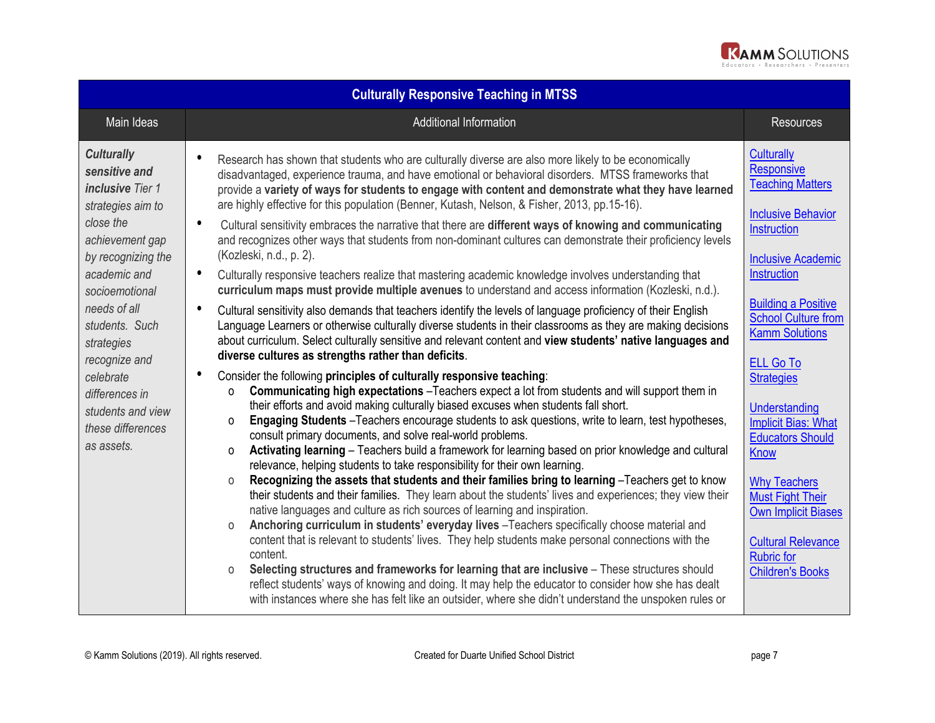

| <b>Culturally Responsive Teaching in MTSS</b>                                                                                                                                                                                                                                                                                      |                                                                                                                                                                                                                                                                                                                                                                                                                                                                                                                                                                                                                                                         |                                                                                                                      |  |
|------------------------------------------------------------------------------------------------------------------------------------------------------------------------------------------------------------------------------------------------------------------------------------------------------------------------------------|---------------------------------------------------------------------------------------------------------------------------------------------------------------------------------------------------------------------------------------------------------------------------------------------------------------------------------------------------------------------------------------------------------------------------------------------------------------------------------------------------------------------------------------------------------------------------------------------------------------------------------------------------------|----------------------------------------------------------------------------------------------------------------------|--|
| Main Ideas                                                                                                                                                                                                                                                                                                                         | <b>Additional Information</b>                                                                                                                                                                                                                                                                                                                                                                                                                                                                                                                                                                                                                           | <b>Resources</b>                                                                                                     |  |
| <b>Culturally</b><br>sensitive and<br><b>inclusive</b> Tier 1<br>strategies aim to<br>close the<br>achievement gap<br>by recognizing the<br>academic and<br>socioemotional<br>needs of all<br>students. Such<br>strategies<br>recognize and<br>celebrate<br>differences in<br>students and view<br>these differences<br>as assets. | $\bullet$<br>Research has shown that students who are culturally diverse are also more likely to be economically<br>disadvantaged, experience trauma, and have emotional or behavioral disorders. MTSS frameworks that<br>provide a variety of ways for students to engage with content and demonstrate what they have learned<br>are highly effective for this population (Benner, Kutash, Nelson, & Fisher, 2013, pp.15-16).<br>$\bullet$<br>Cultural sensitivity embraces the narrative that there are different ways of knowing and communicating                                                                                                   | <b>Culturally</b><br><b>Responsive</b><br><b>Teaching Matters</b><br><b>Inclusive Behavior</b><br><b>Instruction</b> |  |
|                                                                                                                                                                                                                                                                                                                                    | and recognizes other ways that students from non-dominant cultures can demonstrate their proficiency levels<br>(Kozleski, n.d., p. 2).<br>$\bullet$<br>Culturally responsive teachers realize that mastering academic knowledge involves understanding that<br>curriculum maps must provide multiple avenues to understand and access information (Kozleski, n.d.).                                                                                                                                                                                                                                                                                     | <b>Inclusive Academic</b><br><b>Instruction</b>                                                                      |  |
|                                                                                                                                                                                                                                                                                                                                    | $\bullet$<br>Cultural sensitivity also demands that teachers identify the levels of language proficiency of their English<br>Language Learners or otherwise culturally diverse students in their classrooms as they are making decisions<br>about curriculum. Select culturally sensitive and relevant content and view students' native languages and<br>diverse cultures as strengths rather than deficits.                                                                                                                                                                                                                                           | <b>Building a Positive</b><br><b>School Culture from</b><br><b>Kamm Solutions</b><br><b>ELL Go To</b>                |  |
|                                                                                                                                                                                                                                                                                                                                    | Consider the following principles of culturally responsive teaching:<br>Communicating high expectations -Teachers expect a lot from students and will support them in<br>$\Omega$<br>their efforts and avoid making culturally biased excuses when students fall short.<br>Engaging Students - Teachers encourage students to ask questions, write to learn, test hypotheses,<br>$\Omega$<br>consult primary documents, and solve real-world problems.<br>Activating learning - Teachers build a framework for learning based on prior knowledge and cultural<br>$\Omega$<br>relevance, helping students to take responsibility for their own learning. | <b>Strategies</b><br><b>Understanding</b><br><b>Implicit Bias: What</b><br><b>Educators Should</b><br><b>Know</b>    |  |
|                                                                                                                                                                                                                                                                                                                                    | Recognizing the assets that students and their families bring to learning -Teachers get to know<br>$\Omega$<br>their students and their families. They learn about the students' lives and experiences; they view their<br>native languages and culture as rich sources of learning and inspiration.<br>Anchoring curriculum in students' everyday lives -Teachers specifically choose material and<br>$\circ$<br>content that is relevant to students' lives. They help students make personal connections with the                                                                                                                                    | <b>Why Teachers</b><br><b>Must Fight Their</b><br><b>Own Implicit Biases</b><br><b>Cultural Relevance</b>            |  |
|                                                                                                                                                                                                                                                                                                                                    | content.<br>Selecting structures and frameworks for learning that are inclusive - These structures should<br>$\circ$<br>reflect students' ways of knowing and doing. It may help the educator to consider how she has dealt<br>with instances where she has felt like an outsider, where she didn't understand the unspoken rules or                                                                                                                                                                                                                                                                                                                    | <b>Rubric for</b><br><b>Children's Books</b>                                                                         |  |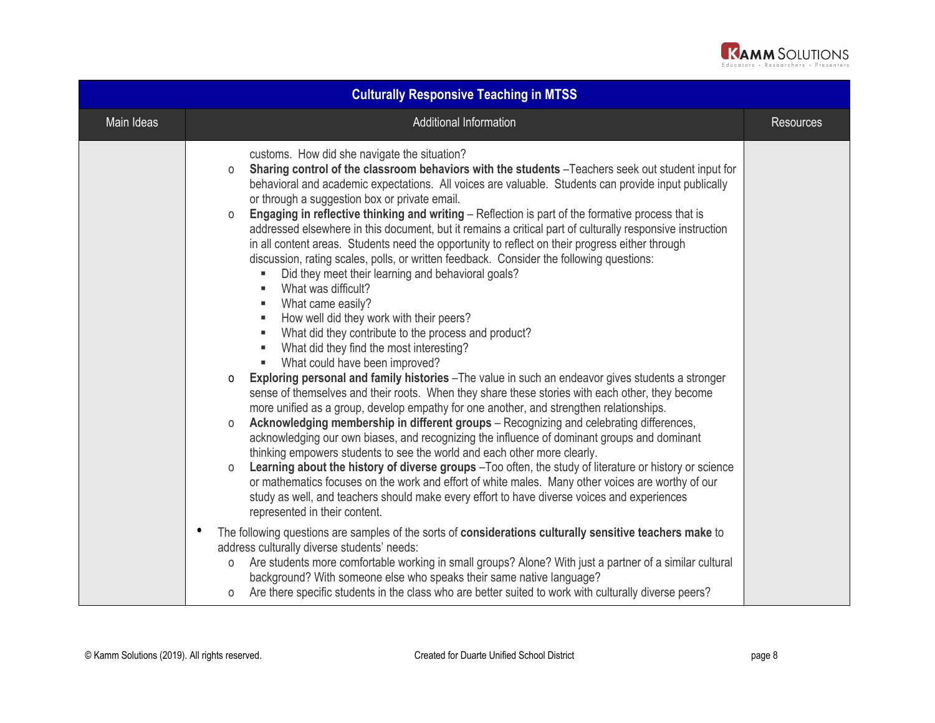

| <b>Culturally Responsive Teaching in MTSS</b> |                                                                                                                                                                                                                                                                                                                                                                                                                                                                                                                                                                                                                                                                                                                                                                     |                  |
|-----------------------------------------------|---------------------------------------------------------------------------------------------------------------------------------------------------------------------------------------------------------------------------------------------------------------------------------------------------------------------------------------------------------------------------------------------------------------------------------------------------------------------------------------------------------------------------------------------------------------------------------------------------------------------------------------------------------------------------------------------------------------------------------------------------------------------|------------------|
| Main Ideas                                    | <b>Additional Information</b>                                                                                                                                                                                                                                                                                                                                                                                                                                                                                                                                                                                                                                                                                                                                       | <b>Resources</b> |
|                                               | customs. How did she navigate the situation?<br>Sharing control of the classroom behaviors with the students -Teachers seek out student input for<br>$\circ$<br>behavioral and academic expectations. All voices are valuable. Students can provide input publically<br>or through a suggestion box or private email.                                                                                                                                                                                                                                                                                                                                                                                                                                               |                  |
|                                               | Engaging in reflective thinking and writing - Reflection is part of the formative process that is<br>0<br>addressed elsewhere in this document, but it remains a critical part of culturally responsive instruction<br>in all content areas. Students need the opportunity to reflect on their progress either through<br>discussion, rating scales, polls, or written feedback. Consider the following questions:<br>Did they meet their learning and behavioral goals?<br>٠<br>What was difficult?<br>$\blacksquare$<br>What came easily?<br>$\blacksquare$<br>How well did they work with their peers?<br>٠<br>What did they contribute to the process and product?<br>٠<br>What did they find the most interesting?<br>٠<br>What could have been improved?<br>٠ |                  |
|                                               | Exploring personal and family histories - The value in such an endeavor gives students a stronger<br>0<br>sense of themselves and their roots. When they share these stories with each other, they become<br>more unified as a group, develop empathy for one another, and strengthen relationships.                                                                                                                                                                                                                                                                                                                                                                                                                                                                |                  |
|                                               | Acknowledging membership in different groups – Recognizing and celebrating differences,<br>0<br>acknowledging our own biases, and recognizing the influence of dominant groups and dominant<br>thinking empowers students to see the world and each other more clearly.                                                                                                                                                                                                                                                                                                                                                                                                                                                                                             |                  |
|                                               | Learning about the history of diverse groups - Too often, the study of literature or history or science<br>0<br>or mathematics focuses on the work and effort of white males. Many other voices are worthy of our<br>study as well, and teachers should make every effort to have diverse voices and experiences<br>represented in their content.                                                                                                                                                                                                                                                                                                                                                                                                                   |                  |
|                                               | The following questions are samples of the sorts of considerations culturally sensitive teachers make to<br>address culturally diverse students' needs:<br>Are students more comfortable working in small groups? Alone? With just a partner of a similar cultural<br>0<br>background? With someone else who speaks their same native language?<br>Are there specific students in the class who are better suited to work with culturally diverse peers?<br>0                                                                                                                                                                                                                                                                                                       |                  |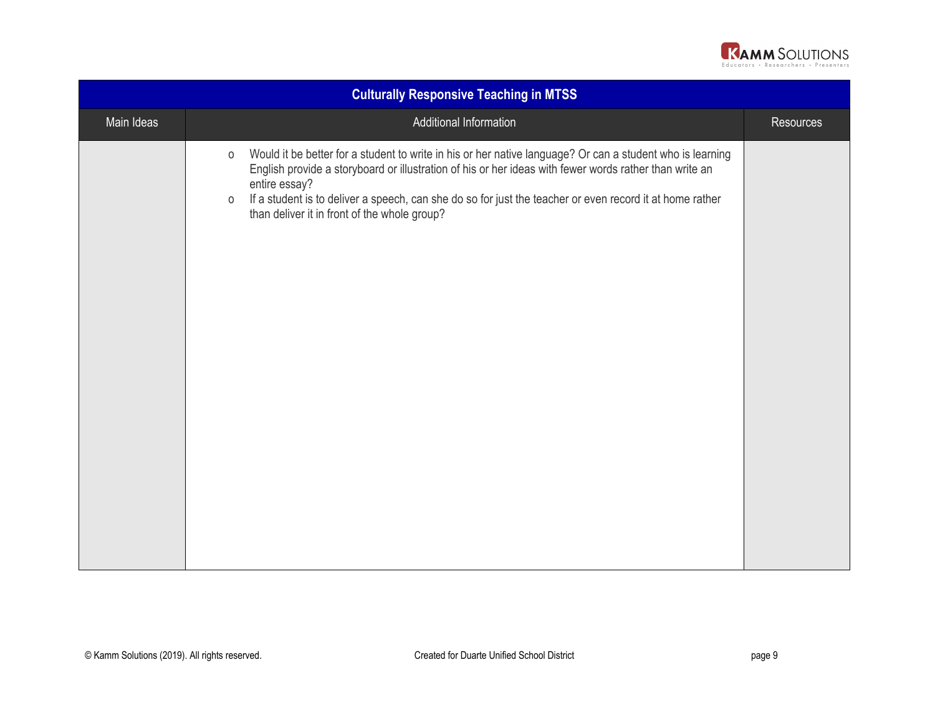

| <b>Culturally Responsive Teaching in MTSS</b> |                                                                                                                                                                                                                                                                                                                                                                                                                        |                  |
|-----------------------------------------------|------------------------------------------------------------------------------------------------------------------------------------------------------------------------------------------------------------------------------------------------------------------------------------------------------------------------------------------------------------------------------------------------------------------------|------------------|
| Main Ideas                                    | Additional Information                                                                                                                                                                                                                                                                                                                                                                                                 | <b>Resources</b> |
|                                               | Would it be better for a student to write in his or her native language? Or can a student who is learning<br>$\circ$<br>English provide a storyboard or illustration of his or her ideas with fewer words rather than write an<br>entire essay?<br>If a student is to deliver a speech, can she do so for just the teacher or even record it at home rather<br>$\circ$<br>than deliver it in front of the whole group? |                  |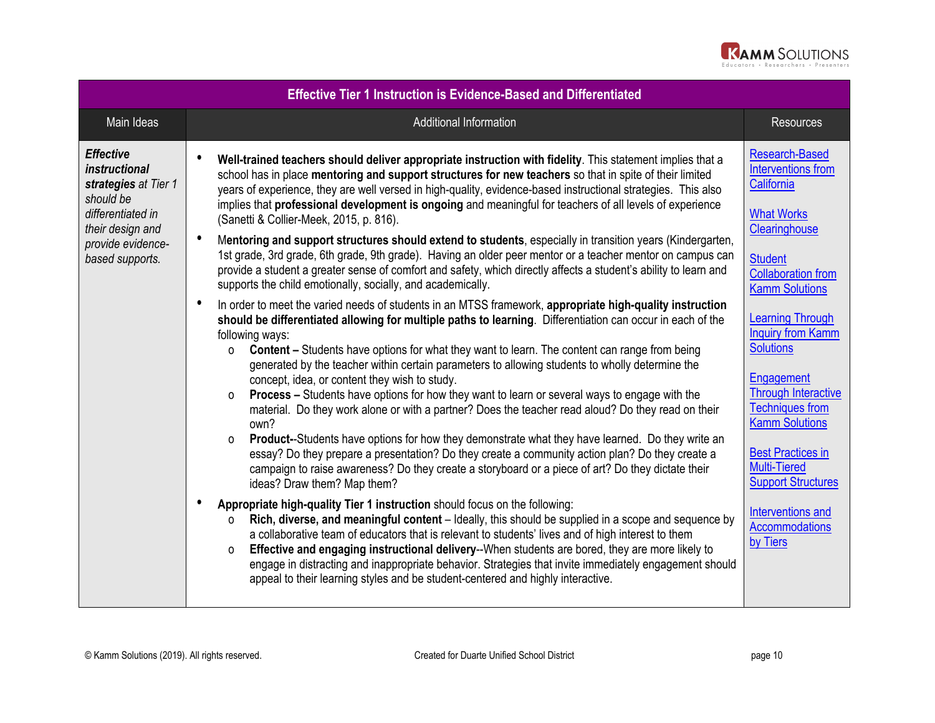

| <b>Effective Tier 1 Instruction is Evidence-Based and Differentiated</b>                                                                                       |                                                                                                                                                                                                                                                                                                                                                                                                                                                                                                                                                                                                                                                                                                                                                                                                                                                                                                                                                                                                                                                                                                                                                                                                                                                                                                                                                                                                                                                                                                                                                                                                                                                                                                                                                                                                                                                                                                                                                                                                                                                                                                                                                                                                                                                                                                                                                                                                                                                                                                                                                                                                                                                              |                                                                                                                                                                                                                                                                                                                                                                                                                                                                                             |  |
|----------------------------------------------------------------------------------------------------------------------------------------------------------------|--------------------------------------------------------------------------------------------------------------------------------------------------------------------------------------------------------------------------------------------------------------------------------------------------------------------------------------------------------------------------------------------------------------------------------------------------------------------------------------------------------------------------------------------------------------------------------------------------------------------------------------------------------------------------------------------------------------------------------------------------------------------------------------------------------------------------------------------------------------------------------------------------------------------------------------------------------------------------------------------------------------------------------------------------------------------------------------------------------------------------------------------------------------------------------------------------------------------------------------------------------------------------------------------------------------------------------------------------------------------------------------------------------------------------------------------------------------------------------------------------------------------------------------------------------------------------------------------------------------------------------------------------------------------------------------------------------------------------------------------------------------------------------------------------------------------------------------------------------------------------------------------------------------------------------------------------------------------------------------------------------------------------------------------------------------------------------------------------------------------------------------------------------------------------------------------------------------------------------------------------------------------------------------------------------------------------------------------------------------------------------------------------------------------------------------------------------------------------------------------------------------------------------------------------------------------------------------------------------------------------------------------------------------|---------------------------------------------------------------------------------------------------------------------------------------------------------------------------------------------------------------------------------------------------------------------------------------------------------------------------------------------------------------------------------------------------------------------------------------------------------------------------------------------|--|
| Main Ideas                                                                                                                                                     | <b>Additional Information</b>                                                                                                                                                                                                                                                                                                                                                                                                                                                                                                                                                                                                                                                                                                                                                                                                                                                                                                                                                                                                                                                                                                                                                                                                                                                                                                                                                                                                                                                                                                                                                                                                                                                                                                                                                                                                                                                                                                                                                                                                                                                                                                                                                                                                                                                                                                                                                                                                                                                                                                                                                                                                                                | <b>Resources</b>                                                                                                                                                                                                                                                                                                                                                                                                                                                                            |  |
| <b>Effective</b><br><i>instructional</i><br>strategies at Tier 1<br>should be<br>differentiated in<br>their design and<br>provide evidence-<br>based supports. | Well-trained teachers should deliver appropriate instruction with fidelity. This statement implies that a<br>school has in place mentoring and support structures for new teachers so that in spite of their limited<br>years of experience, they are well versed in high-quality, evidence-based instructional strategies. This also<br>implies that professional development is ongoing and meaningful for teachers of all levels of experience<br>(Sanetti & Collier-Meek, 2015, p. 816).<br>$\bullet$<br>Mentoring and support structures should extend to students, especially in transition years (Kindergarten,<br>1st grade, 3rd grade, 6th grade, 9th grade). Having an older peer mentor or a teacher mentor on campus can<br>provide a student a greater sense of comfort and safety, which directly affects a student's ability to learn and<br>supports the child emotionally, socially, and academically.<br>In order to meet the varied needs of students in an MTSS framework, appropriate high-quality instruction<br>$\bullet$<br>should be differentiated allowing for multiple paths to learning. Differentiation can occur in each of the<br>following ways:<br><b>Content – Students have options for what they want to learn. The content can range from being</b><br>$\Omega$<br>generated by the teacher within certain parameters to allowing students to wholly determine the<br>concept, idea, or content they wish to study.<br><b>Process</b> – Students have options for how they want to learn or several ways to engage with the<br>$\Omega$<br>material. Do they work alone or with a partner? Does the teacher read aloud? Do they read on their<br>own?<br>Product--Students have options for how they demonstrate what they have learned. Do they write an<br>$\Omega$<br>essay? Do they prepare a presentation? Do they create a community action plan? Do they create a<br>campaign to raise awareness? Do they create a storyboard or a piece of art? Do they dictate their<br>ideas? Draw them? Map them?<br>€<br>Appropriate high-quality Tier 1 instruction should focus on the following:<br>Rich, diverse, and meaningful content - Ideally, this should be supplied in a scope and sequence by<br>0<br>a collaborative team of educators that is relevant to students' lives and of high interest to them<br>Effective and engaging instructional delivery--When students are bored, they are more likely to<br>0<br>engage in distracting and inappropriate behavior. Strategies that invite immediately engagement should<br>appeal to their learning styles and be student-centered and highly interactive. | <b>Research-Based</b><br>Interventions from<br>California<br><b>What Works</b><br>Clearinghouse<br><b>Student</b><br><b>Collaboration from</b><br><b>Kamm Solutions</b><br><b>Learning Through</b><br><b>Inquiry from Kamm</b><br><b>Solutions</b><br>Engagement<br><b>Through Interactive</b><br><b>Techniques from</b><br><b>Kamm Solutions</b><br><b>Best Practices in</b><br><b>Multi-Tiered</b><br><b>Support Structures</b><br>Interventions and<br><b>Accommodations</b><br>by Tiers |  |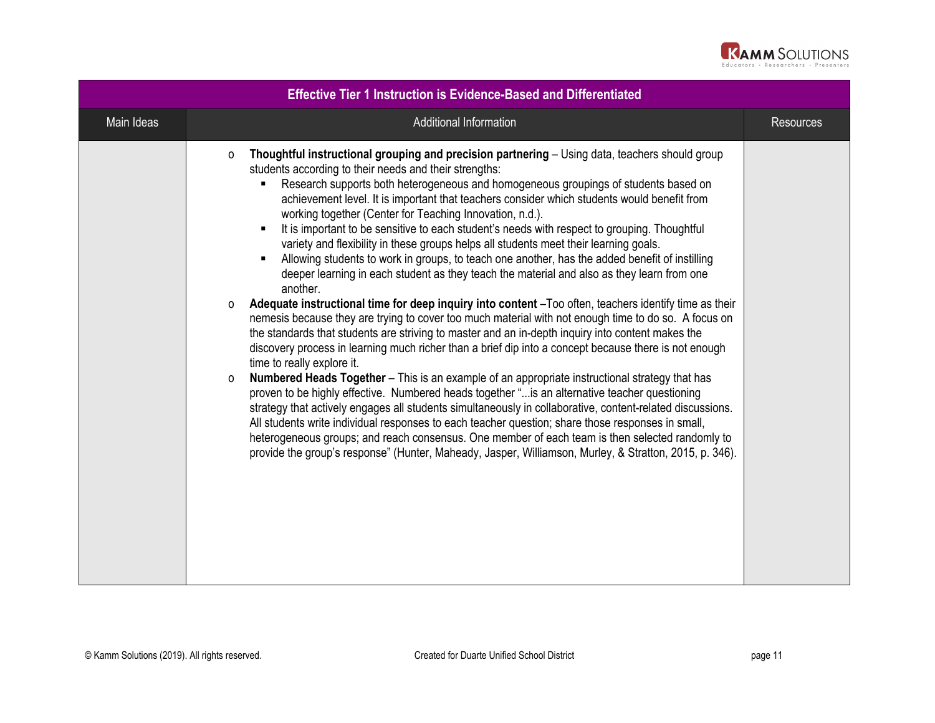

| <b>Effective Tier 1 Instruction is Evidence-Based and Differentiated</b> |                                                                                                                                                                                                                                                                                                                                                                                                                                                                                                                                                                                                                                                                                                                                                                                                                                                                                                                                                                                                                                                                                                                                                                                                                                                                                                                                                                                                                                                                                                                                                                                                                                                                                                                                                                                                                                                                                                                                                     |                  |
|--------------------------------------------------------------------------|-----------------------------------------------------------------------------------------------------------------------------------------------------------------------------------------------------------------------------------------------------------------------------------------------------------------------------------------------------------------------------------------------------------------------------------------------------------------------------------------------------------------------------------------------------------------------------------------------------------------------------------------------------------------------------------------------------------------------------------------------------------------------------------------------------------------------------------------------------------------------------------------------------------------------------------------------------------------------------------------------------------------------------------------------------------------------------------------------------------------------------------------------------------------------------------------------------------------------------------------------------------------------------------------------------------------------------------------------------------------------------------------------------------------------------------------------------------------------------------------------------------------------------------------------------------------------------------------------------------------------------------------------------------------------------------------------------------------------------------------------------------------------------------------------------------------------------------------------------------------------------------------------------------------------------------------------------|------------------|
| Main Ideas                                                               | Additional Information                                                                                                                                                                                                                                                                                                                                                                                                                                                                                                                                                                                                                                                                                                                                                                                                                                                                                                                                                                                                                                                                                                                                                                                                                                                                                                                                                                                                                                                                                                                                                                                                                                                                                                                                                                                                                                                                                                                              | <b>Resources</b> |
| $\circ$<br>$\circ$<br>$\Omega$                                           | Thoughtful instructional grouping and precision partnering – Using data, teachers should group<br>students according to their needs and their strengths:<br>Research supports both heterogeneous and homogeneous groupings of students based on<br>achievement level. It is important that teachers consider which students would benefit from<br>working together (Center for Teaching Innovation, n.d.).<br>It is important to be sensitive to each student's needs with respect to grouping. Thoughtful<br>$\blacksquare$<br>variety and flexibility in these groups helps all students meet their learning goals.<br>Allowing students to work in groups, to teach one another, has the added benefit of instilling<br>$\blacksquare$<br>deeper learning in each student as they teach the material and also as they learn from one<br>another.<br>Adequate instructional time for deep inquiry into content -Too often, teachers identify time as their<br>nemesis because they are trying to cover too much material with not enough time to do so. A focus on<br>the standards that students are striving to master and an in-depth inquiry into content makes the<br>discovery process in learning much richer than a brief dip into a concept because there is not enough<br>time to really explore it.<br>Numbered Heads Together - This is an example of an appropriate instructional strategy that has<br>proven to be highly effective. Numbered heads together " is an alternative teacher questioning<br>strategy that actively engages all students simultaneously in collaborative, content-related discussions.<br>All students write individual responses to each teacher question; share those responses in small,<br>heterogeneous groups; and reach consensus. One member of each team is then selected randomly to<br>provide the group's response" (Hunter, Maheady, Jasper, Williamson, Murley, & Stratton, 2015, p. 346). |                  |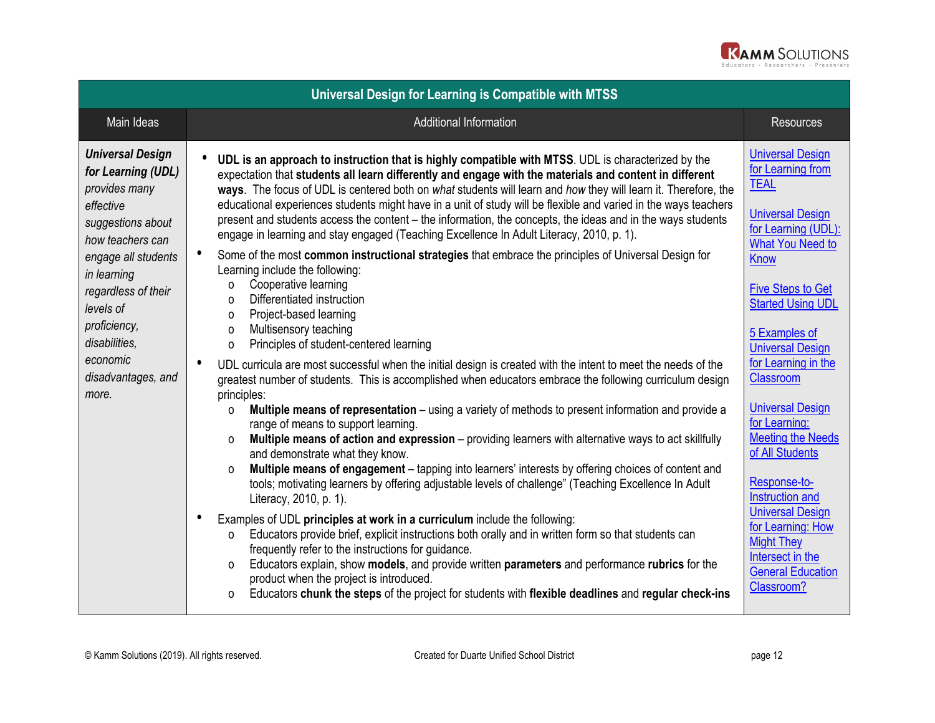

| Universal Design for Learning is Compatible with MTSS                                                                                                                                                                                                                      |                                                                                                                                                                                                                                                                                                                                                                                                                                                                                                                                                                                                                                                                                                                                                                                                                                                                                                                                                                                                                                                                                                                                                                                                                                                                                                                                                                                                                                                                                                                                                                                                                                                                                                                                                                                                                                                                                                                                                                                                                                                                                                                                                                                                                                                                                                                                                            |                                                                                                                                                                                                                                                                                                                                                                                                                                                                                                                                                                  |  |
|----------------------------------------------------------------------------------------------------------------------------------------------------------------------------------------------------------------------------------------------------------------------------|------------------------------------------------------------------------------------------------------------------------------------------------------------------------------------------------------------------------------------------------------------------------------------------------------------------------------------------------------------------------------------------------------------------------------------------------------------------------------------------------------------------------------------------------------------------------------------------------------------------------------------------------------------------------------------------------------------------------------------------------------------------------------------------------------------------------------------------------------------------------------------------------------------------------------------------------------------------------------------------------------------------------------------------------------------------------------------------------------------------------------------------------------------------------------------------------------------------------------------------------------------------------------------------------------------------------------------------------------------------------------------------------------------------------------------------------------------------------------------------------------------------------------------------------------------------------------------------------------------------------------------------------------------------------------------------------------------------------------------------------------------------------------------------------------------------------------------------------------------------------------------------------------------------------------------------------------------------------------------------------------------------------------------------------------------------------------------------------------------------------------------------------------------------------------------------------------------------------------------------------------------------------------------------------------------------------------------------------------------|------------------------------------------------------------------------------------------------------------------------------------------------------------------------------------------------------------------------------------------------------------------------------------------------------------------------------------------------------------------------------------------------------------------------------------------------------------------------------------------------------------------------------------------------------------------|--|
| Main Ideas                                                                                                                                                                                                                                                                 | <b>Additional Information</b>                                                                                                                                                                                                                                                                                                                                                                                                                                                                                                                                                                                                                                                                                                                                                                                                                                                                                                                                                                                                                                                                                                                                                                                                                                                                                                                                                                                                                                                                                                                                                                                                                                                                                                                                                                                                                                                                                                                                                                                                                                                                                                                                                                                                                                                                                                                              | <b>Resources</b>                                                                                                                                                                                                                                                                                                                                                                                                                                                                                                                                                 |  |
| <b>Universal Design</b><br>for Learning (UDL)<br>provides many<br>effective<br>suggestions about<br>how teachers can<br>engage all students<br>in learning<br>regardless of their<br>levels of<br>proficiency,<br>disabilities,<br>economic<br>disadvantages, and<br>more. | UDL is an approach to instruction that is highly compatible with MTSS. UDL is characterized by the<br>expectation that students all learn differently and engage with the materials and content in different<br>ways. The focus of UDL is centered both on what students will learn and how they will learn it. Therefore, the<br>educational experiences students might have in a unit of study will be flexible and varied in the ways teachers<br>present and students access the content - the information, the concepts, the ideas and in the ways students<br>engage in learning and stay engaged (Teaching Excellence In Adult Literacy, 2010, p. 1).<br>Some of the most common instructional strategies that embrace the principles of Universal Design for<br>Learning include the following:<br>Cooperative learning<br>$\Omega$<br>Differentiated instruction<br>$\Omega$<br>Project-based learning<br>$\Omega$<br>Multisensory teaching<br>$\Omega$<br>Principles of student-centered learning<br>$\circ$<br>UDL curricula are most successful when the initial design is created with the intent to meet the needs of the<br>greatest number of students. This is accomplished when educators embrace the following curriculum design<br>principles:<br>Multiple means of representation - using a variety of methods to present information and provide a<br>0<br>range of means to support learning.<br>Multiple means of action and expression - providing learners with alternative ways to act skillfully<br>$\Omega$<br>and demonstrate what they know.<br>Multiple means of engagement - tapping into learners' interests by offering choices of content and<br>$\Omega$<br>tools; motivating learners by offering adjustable levels of challenge" (Teaching Excellence In Adult<br>Literacy, 2010, p. 1).<br>Examples of UDL principles at work in a curriculum include the following:<br>Educators provide brief, explicit instructions both orally and in written form so that students can<br>$\Omega$<br>frequently refer to the instructions for guidance.<br>Educators explain, show models, and provide written parameters and performance rubrics for the<br>0<br>product when the project is introduced.<br>Educators chunk the steps of the project for students with flexible deadlines and regular check-ins<br>$\Omega$ | <b>Universal Design</b><br>for Learning from<br><b>TEAL</b><br><b>Universal Design</b><br>for Learning (UDL):<br><b>What You Need to</b><br><b>Know</b><br><b>Five Steps to Get</b><br><b>Started Using UDL</b><br>5 Examples of<br><b>Universal Design</b><br>for Learning in the<br>Classroom<br><b>Universal Design</b><br>for Learning:<br><b>Meeting the Needs</b><br>of All Students<br>Response-to-<br>Instruction and<br><b>Universal Design</b><br>for Learning: How<br><b>Might They</b><br>Intersect in the<br><b>General Education</b><br>Classroom? |  |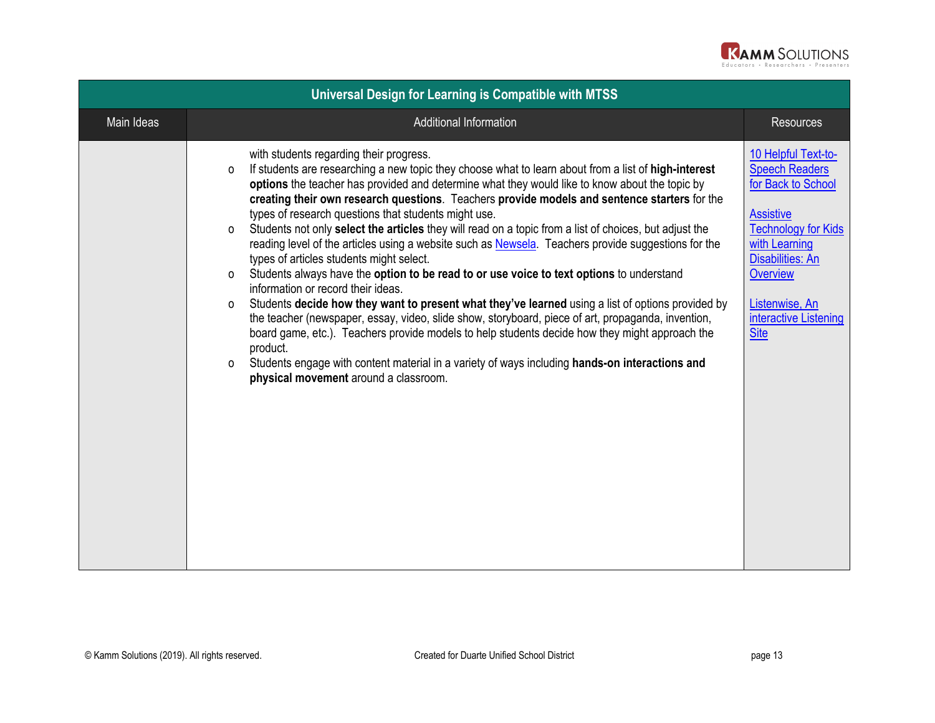

| Universal Design for Learning is Compatible with MTSS |                                                                                                                                                                                                                                                                                                                                                                                                                                                                                                                                                                                                                                                                                                                                                                                                                                                                                                                                                                                                                                                                                                                                                                                                                                                                                                              |                                                                                                                                                                                                                                               |
|-------------------------------------------------------|--------------------------------------------------------------------------------------------------------------------------------------------------------------------------------------------------------------------------------------------------------------------------------------------------------------------------------------------------------------------------------------------------------------------------------------------------------------------------------------------------------------------------------------------------------------------------------------------------------------------------------------------------------------------------------------------------------------------------------------------------------------------------------------------------------------------------------------------------------------------------------------------------------------------------------------------------------------------------------------------------------------------------------------------------------------------------------------------------------------------------------------------------------------------------------------------------------------------------------------------------------------------------------------------------------------|-----------------------------------------------------------------------------------------------------------------------------------------------------------------------------------------------------------------------------------------------|
| Main Ideas                                            | <b>Additional Information</b>                                                                                                                                                                                                                                                                                                                                                                                                                                                                                                                                                                                                                                                                                                                                                                                                                                                                                                                                                                                                                                                                                                                                                                                                                                                                                | <b>Resources</b>                                                                                                                                                                                                                              |
|                                                       | with students regarding their progress.<br>If students are researching a new topic they choose what to learn about from a list of high-interest<br>o<br>options the teacher has provided and determine what they would like to know about the topic by<br>creating their own research questions. Teachers provide models and sentence starters for the<br>types of research questions that students might use.<br>Students not only select the articles they will read on a topic from a list of choices, but adjust the<br>0<br>reading level of the articles using a website such as Newsela. Teachers provide suggestions for the<br>types of articles students might select.<br>Students always have the option to be read to or use voice to text options to understand<br>$\Omega$<br>information or record their ideas.<br>Students decide how they want to present what they've learned using a list of options provided by<br>0<br>the teacher (newspaper, essay, video, slide show, storyboard, piece of art, propaganda, invention,<br>board game, etc.). Teachers provide models to help students decide how they might approach the<br>product.<br>Students engage with content material in a variety of ways including hands-on interactions and<br>0<br>physical movement around a classroom. | 10 Helpful Text-to-<br><b>Speech Readers</b><br>for Back to School<br><b>Assistive</b><br><b>Technology for Kids</b><br>with Learning<br><b>Disabilities: An</b><br><b>Overview</b><br>Listenwise, An<br>interactive Listening<br><b>Site</b> |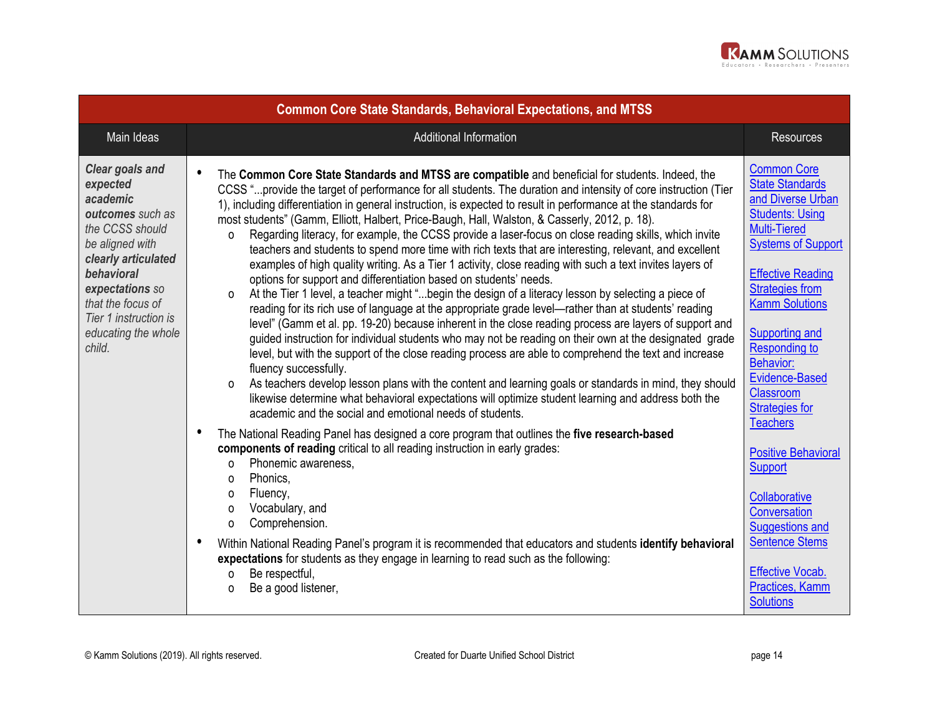

| <b>Common Core State Standards, Behavioral Expectations, and MTSS</b>                                                                                                                                                                    |                                                                                                                                                                                                                                                                                                                                                                                                                                                                                                                                                                                                                                                                                                                                                                                                                                                                                                                                                                                                                                                                                                                                                                                                                                                                                                                                                                                                                                                                                                                                                                                                                                                                                                                                         |                                                                                                                                                                                                                                                                                                                                                             |  |
|------------------------------------------------------------------------------------------------------------------------------------------------------------------------------------------------------------------------------------------|-----------------------------------------------------------------------------------------------------------------------------------------------------------------------------------------------------------------------------------------------------------------------------------------------------------------------------------------------------------------------------------------------------------------------------------------------------------------------------------------------------------------------------------------------------------------------------------------------------------------------------------------------------------------------------------------------------------------------------------------------------------------------------------------------------------------------------------------------------------------------------------------------------------------------------------------------------------------------------------------------------------------------------------------------------------------------------------------------------------------------------------------------------------------------------------------------------------------------------------------------------------------------------------------------------------------------------------------------------------------------------------------------------------------------------------------------------------------------------------------------------------------------------------------------------------------------------------------------------------------------------------------------------------------------------------------------------------------------------------------|-------------------------------------------------------------------------------------------------------------------------------------------------------------------------------------------------------------------------------------------------------------------------------------------------------------------------------------------------------------|--|
| Main Ideas                                                                                                                                                                                                                               | <b>Additional Information</b>                                                                                                                                                                                                                                                                                                                                                                                                                                                                                                                                                                                                                                                                                                                                                                                                                                                                                                                                                                                                                                                                                                                                                                                                                                                                                                                                                                                                                                                                                                                                                                                                                                                                                                           | <b>Resources</b>                                                                                                                                                                                                                                                                                                                                            |  |
| Clear goals and<br>expected<br>academic<br>outcomes such as<br>the CCSS should<br>be aligned with<br>clearly articulated<br>behavioral<br>expectations so<br>that the focus of<br>Tier 1 instruction is<br>educating the whole<br>child. | $\bullet$<br>The Common Core State Standards and MTSS are compatible and beneficial for students. Indeed, the<br>CCSS " provide the target of performance for all students. The duration and intensity of core instruction (Tier<br>1), including differentiation in general instruction, is expected to result in performance at the standards for<br>most students" (Gamm, Elliott, Halbert, Price-Baugh, Hall, Walston, & Casserly, 2012, p. 18).<br>Regarding literacy, for example, the CCSS provide a laser-focus on close reading skills, which invite<br>0<br>teachers and students to spend more time with rich texts that are interesting, relevant, and excellent<br>examples of high quality writing. As a Tier 1 activity, close reading with such a text invites layers of<br>options for support and differentiation based on students' needs.<br>At the Tier 1 level, a teacher might "begin the design of a literacy lesson by selecting a piece of<br>$\Omega$<br>reading for its rich use of language at the appropriate grade level-rather than at students' reading<br>level" (Gamm et al. pp. 19-20) because inherent in the close reading process are layers of support and<br>guided instruction for individual students who may not be reading on their own at the designated grade<br>level, but with the support of the close reading process are able to comprehend the text and increase<br>fluency successfully.<br>As teachers develop lesson plans with the content and learning goals or standards in mind, they should<br>$\Omega$<br>likewise determine what behavioral expectations will optimize student learning and address both the<br>academic and the social and emotional needs of students. | <b>Common Core</b><br><b>State Standards</b><br>and Diverse Urban<br><b>Students: Using</b><br><b>Multi-Tiered</b><br><b>Systems of Support</b><br><b>Effective Reading</b><br><b>Strategies from</b><br><b>Kamm Solutions</b><br>Supporting and<br><b>Responding to</b><br><b>Behavior:</b><br><b>Evidence-Based</b><br>Classroom<br><b>Strategies for</b> |  |
|                                                                                                                                                                                                                                          | $\bullet$<br>The National Reading Panel has designed a core program that outlines the five research-based<br>components of reading critical to all reading instruction in early grades:<br>Phonemic awareness.<br>$\Omega$<br>Phonics,<br>$\Omega$<br>Fluency,<br>$\Omega$<br>Vocabulary, and<br>$\Omega$<br>Comprehension.<br>0<br>$\bullet$<br>Within National Reading Panel's program it is recommended that educators and students identify behavioral<br>expectations for students as they engage in learning to read such as the following:<br>Be respectful,<br>$\Omega$<br>Be a good listener,<br>0                                                                                                                                                                                                                                                                                                                                                                                                                                                                                                                                                                                                                                                                                                                                                                                                                                                                                                                                                                                                                                                                                                                             | <b>Teachers</b><br><b>Positive Behavioral</b><br>Support<br>Collaborative<br>Conversation<br><b>Suggestions and</b><br><b>Sentence Stems</b><br><b>Effective Vocab.</b><br>Practices, Kamm<br><b>Solutions</b>                                                                                                                                              |  |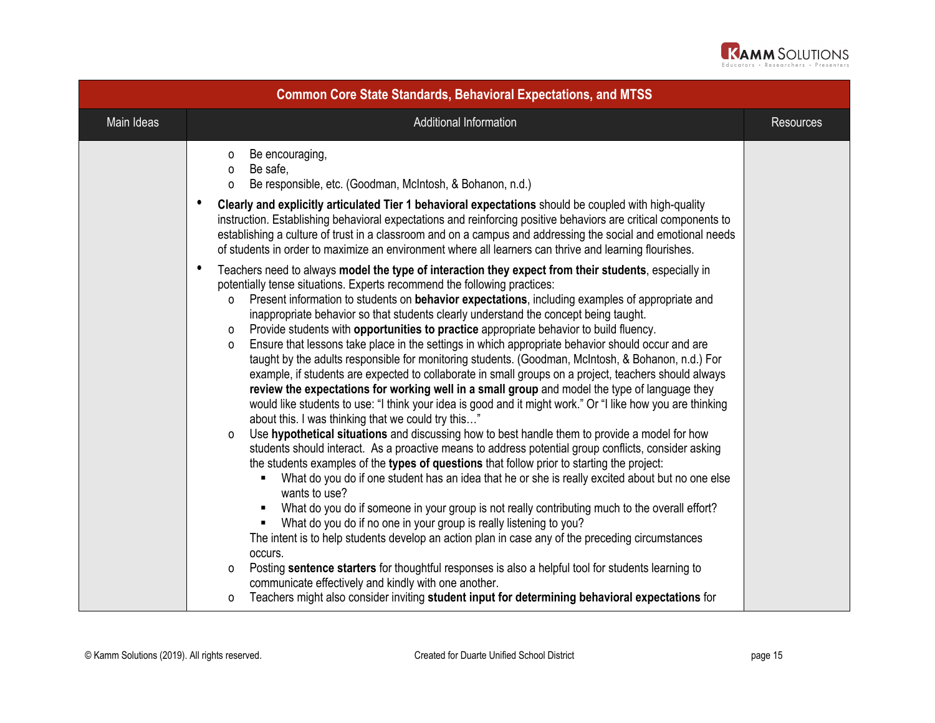

| <b>Common Core State Standards, Behavioral Expectations, and MTSS</b> |                                                                                                                                                                                                                                                                                                                                                                                                                                                                                                                                                                                                                                                                                                                                                                                                                                                                                                                                                                                                                                                                                                                                                                                                                                                                                                                                                                                                                                                                                                                                                                                                                                                                                                                                                                                                                                                                                                                                                                                                                                                                                                                                                                                                                                                                                                                                                                                                                                                                                                                                                                                                                                                                                |                  |
|-----------------------------------------------------------------------|--------------------------------------------------------------------------------------------------------------------------------------------------------------------------------------------------------------------------------------------------------------------------------------------------------------------------------------------------------------------------------------------------------------------------------------------------------------------------------------------------------------------------------------------------------------------------------------------------------------------------------------------------------------------------------------------------------------------------------------------------------------------------------------------------------------------------------------------------------------------------------------------------------------------------------------------------------------------------------------------------------------------------------------------------------------------------------------------------------------------------------------------------------------------------------------------------------------------------------------------------------------------------------------------------------------------------------------------------------------------------------------------------------------------------------------------------------------------------------------------------------------------------------------------------------------------------------------------------------------------------------------------------------------------------------------------------------------------------------------------------------------------------------------------------------------------------------------------------------------------------------------------------------------------------------------------------------------------------------------------------------------------------------------------------------------------------------------------------------------------------------------------------------------------------------------------------------------------------------------------------------------------------------------------------------------------------------------------------------------------------------------------------------------------------------------------------------------------------------------------------------------------------------------------------------------------------------------------------------------------------------------------------------------------------------|------------------|
| Main Ideas                                                            | Additional Information                                                                                                                                                                                                                                                                                                                                                                                                                                                                                                                                                                                                                                                                                                                                                                                                                                                                                                                                                                                                                                                                                                                                                                                                                                                                                                                                                                                                                                                                                                                                                                                                                                                                                                                                                                                                                                                                                                                                                                                                                                                                                                                                                                                                                                                                                                                                                                                                                                                                                                                                                                                                                                                         | <b>Resources</b> |
|                                                                       | Be encouraging,<br>0<br>Be safe.<br>0<br>Be responsible, etc. (Goodman, McIntosh, & Bohanon, n.d.)<br>$\Omega$<br>Clearly and explicitly articulated Tier 1 behavioral expectations should be coupled with high-quality<br>instruction. Establishing behavioral expectations and reinforcing positive behaviors are critical components to<br>establishing a culture of trust in a classroom and on a campus and addressing the social and emotional needs<br>of students in order to maximize an environment where all learners can thrive and learning flourishes.<br>Teachers need to always model the type of interaction they expect from their students, especially in<br>٠<br>potentially tense situations. Experts recommend the following practices:<br>Present information to students on behavior expectations, including examples of appropriate and<br>0<br>inappropriate behavior so that students clearly understand the concept being taught.<br>Provide students with opportunities to practice appropriate behavior to build fluency.<br>0<br>Ensure that lessons take place in the settings in which appropriate behavior should occur and are<br>0<br>taught by the adults responsible for monitoring students. (Goodman, McIntosh, & Bohanon, n.d.) For<br>example, if students are expected to collaborate in small groups on a project, teachers should always<br>review the expectations for working well in a small group and model the type of language they<br>would like students to use: "I think your idea is good and it might work." Or "I like how you are thinking<br>about this. I was thinking that we could try this"<br>Use hypothetical situations and discussing how to best handle them to provide a model for how<br>$\Omega$<br>students should interact. As a proactive means to address potential group conflicts, consider asking<br>the students examples of the types of questions that follow prior to starting the project:<br>What do you do if one student has an idea that he or she is really excited about but no one else<br>wants to use?<br>What do you do if someone in your group is not really contributing much to the overall effort?<br>٠<br>What do you do if no one in your group is really listening to you?<br>٠<br>The intent is to help students develop an action plan in case any of the preceding circumstances<br>occurs.<br>Posting sentence starters for thoughtful responses is also a helpful tool for students learning to<br>0<br>communicate effectively and kindly with one another.<br>Teachers might also consider inviting student input for determining behavioral expectations for<br>0 |                  |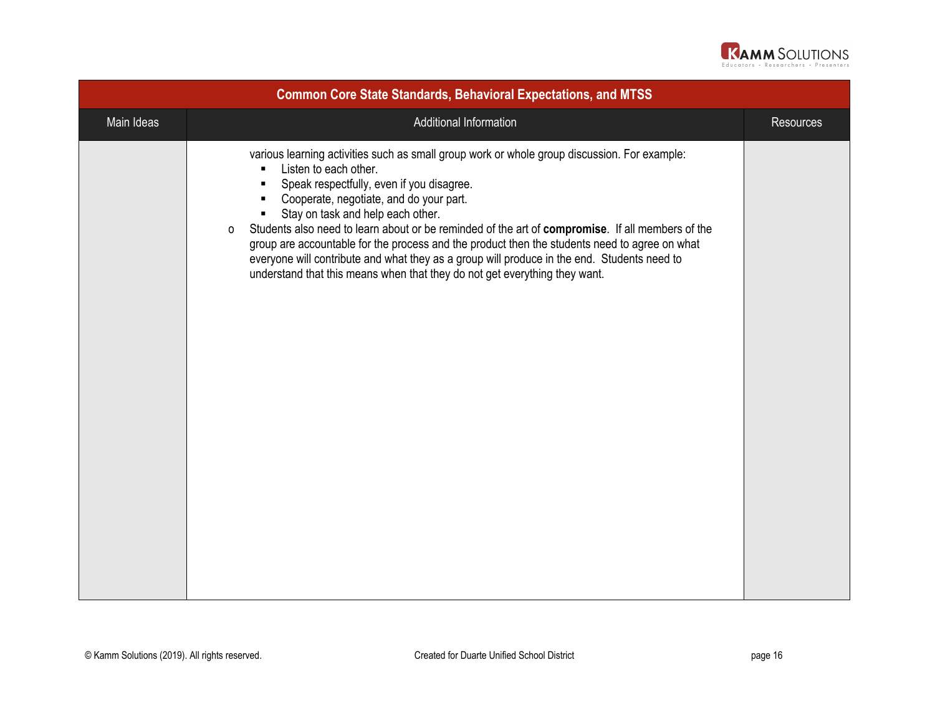

| <b>Common Core State Standards, Behavioral Expectations, and MTSS</b> |                                                                                                                                                                                                                                                                                                                                                                                                                                                                                                                                                                                                                                                                             |                  |
|-----------------------------------------------------------------------|-----------------------------------------------------------------------------------------------------------------------------------------------------------------------------------------------------------------------------------------------------------------------------------------------------------------------------------------------------------------------------------------------------------------------------------------------------------------------------------------------------------------------------------------------------------------------------------------------------------------------------------------------------------------------------|------------------|
| Main Ideas                                                            | Additional Information                                                                                                                                                                                                                                                                                                                                                                                                                                                                                                                                                                                                                                                      | <b>Resources</b> |
|                                                                       | various learning activities such as small group work or whole group discussion. For example:<br>Listen to each other.<br>٠<br>Speak respectfully, even if you disagree.<br>$\blacksquare$<br>Cooperate, negotiate, and do your part.<br>٠<br>Stay on task and help each other.<br>Students also need to learn about or be reminded of the art of compromise. If all members of the<br>$\circ$<br>group are accountable for the process and the product then the students need to agree on what<br>everyone will contribute and what they as a group will produce in the end. Students need to<br>understand that this means when that they do not get everything they want. |                  |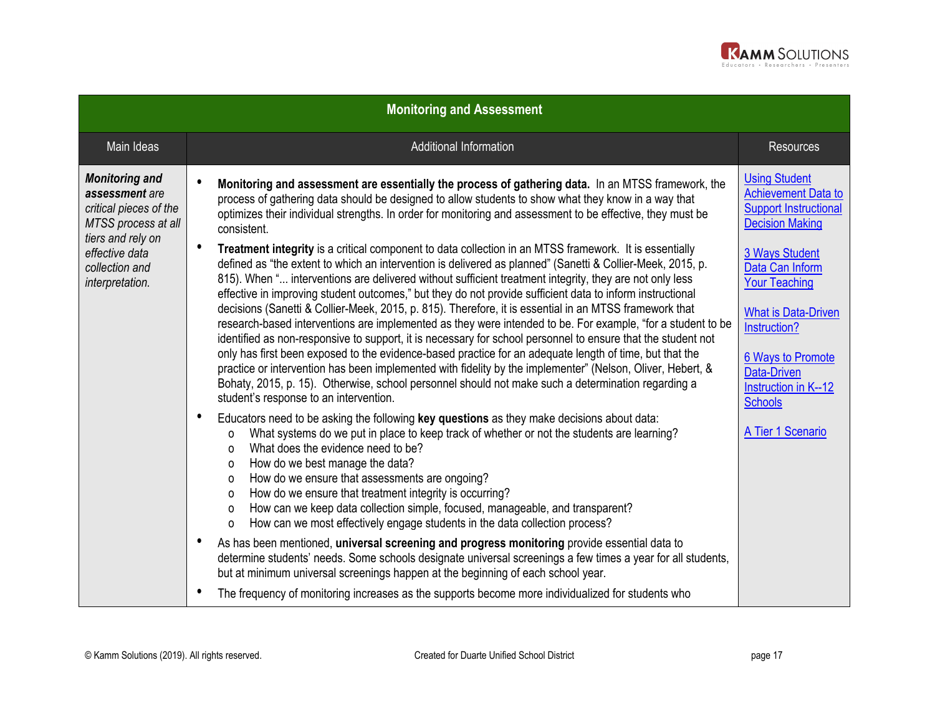

| <b>Monitoring and Assessment</b>                                                                                                                                     |                                                                                                                                                                                                                                                                                                                                                                                                                                                                                                                                                                                                      |                                                                                                              |  |
|----------------------------------------------------------------------------------------------------------------------------------------------------------------------|------------------------------------------------------------------------------------------------------------------------------------------------------------------------------------------------------------------------------------------------------------------------------------------------------------------------------------------------------------------------------------------------------------------------------------------------------------------------------------------------------------------------------------------------------------------------------------------------------|--------------------------------------------------------------------------------------------------------------|--|
| Main Ideas                                                                                                                                                           | <b>Additional Information</b>                                                                                                                                                                                                                                                                                                                                                                                                                                                                                                                                                                        | <b>Resources</b>                                                                                             |  |
| <b>Monitoring and</b><br>assessment are<br>critical pieces of the<br>MTSS process at all<br>tiers and rely on<br>effective data<br>collection and<br>interpretation. | $\bullet$<br>Monitoring and assessment are essentially the process of gathering data. In an MTSS framework, the<br>process of gathering data should be designed to allow students to show what they know in a way that<br>optimizes their individual strengths. In order for monitoring and assessment to be effective, they must be<br>consistent.                                                                                                                                                                                                                                                  | <b>Using Student</b><br><b>Achievement Data to</b><br><b>Support Instructional</b><br><b>Decision Making</b> |  |
|                                                                                                                                                                      | $\bullet$<br>Treatment integrity is a critical component to data collection in an MTSS framework. It is essentially<br>defined as "the extent to which an intervention is delivered as planned" (Sanetti & Collier-Meek, 2015, p.<br>815). When " interventions are delivered without sufficient treatment integrity, they are not only less<br>effective in improving student outcomes," but they do not provide sufficient data to inform instructional                                                                                                                                            | <b>3 Ways Student</b><br>Data Can Inform<br><b>Your Teaching</b>                                             |  |
|                                                                                                                                                                      | decisions (Sanetti & Collier-Meek, 2015, p. 815). Therefore, it is essential in an MTSS framework that<br>research-based interventions are implemented as they were intended to be. For example, "for a student to be<br>identified as non-responsive to support, it is necessary for school personnel to ensure that the student not                                                                                                                                                                                                                                                                | <b>What is Data-Driven</b><br>Instruction?                                                                   |  |
|                                                                                                                                                                      | only has first been exposed to the evidence-based practice for an adequate length of time, but that the<br>practice or intervention has been implemented with fidelity by the implementer" (Nelson, Oliver, Hebert, &<br>Bohaty, 2015, p. 15). Otherwise, school personnel should not make such a determination regarding a<br>student's response to an intervention.                                                                                                                                                                                                                                | <b>6 Ways to Promote</b><br>Data-Driven<br><b>Instruction in K--12</b><br><b>Schools</b>                     |  |
|                                                                                                                                                                      | ٠<br>Educators need to be asking the following key questions as they make decisions about data:<br>What systems do we put in place to keep track of whether or not the students are learning?<br>$\Omega$<br>What does the evidence need to be?<br>$\Omega$<br>How do we best manage the data?<br>0<br>How do we ensure that assessments are ongoing?<br>0<br>How do we ensure that treatment integrity is occurring?<br>0<br>How can we keep data collection simple, focused, manageable, and transparent?<br>0<br>How can we most effectively engage students in the data collection process?<br>O | A Tier 1 Scenario                                                                                            |  |
|                                                                                                                                                                      | $\bullet$<br>As has been mentioned, universal screening and progress monitoring provide essential data to<br>determine students' needs. Some schools designate universal screenings a few times a year for all students,<br>but at minimum universal screenings happen at the beginning of each school year.                                                                                                                                                                                                                                                                                         |                                                                                                              |  |
|                                                                                                                                                                      | ٠<br>The frequency of monitoring increases as the supports become more individualized for students who                                                                                                                                                                                                                                                                                                                                                                                                                                                                                               |                                                                                                              |  |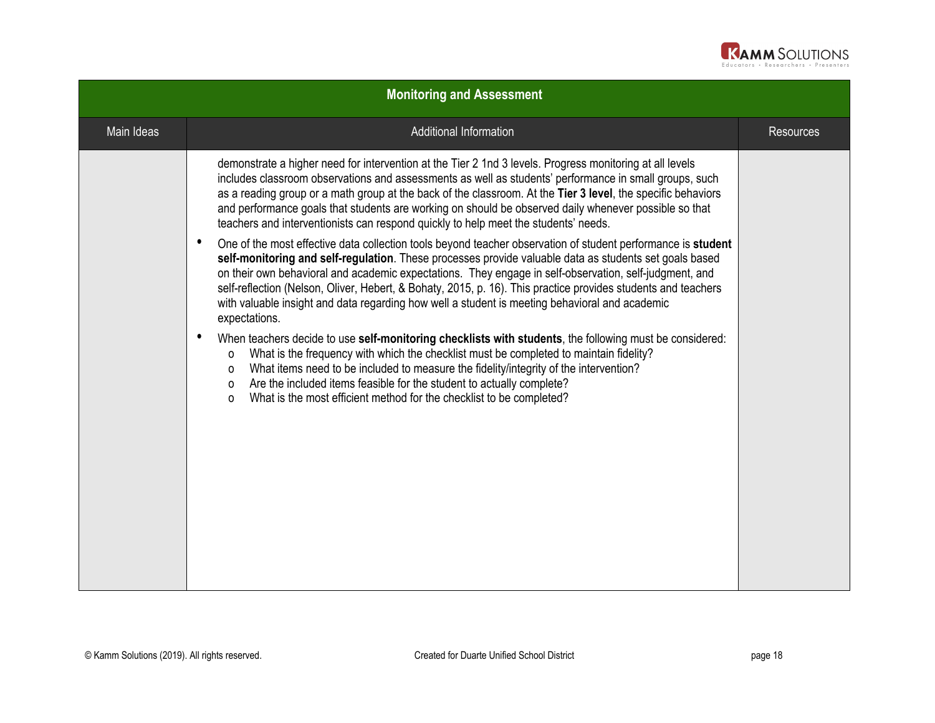

| <b>Monitoring and Assessment</b> |                                                                                                                                                                                                                                                                                                                                                                                                                                                                                                                                                                                   |                  |
|----------------------------------|-----------------------------------------------------------------------------------------------------------------------------------------------------------------------------------------------------------------------------------------------------------------------------------------------------------------------------------------------------------------------------------------------------------------------------------------------------------------------------------------------------------------------------------------------------------------------------------|------------------|
| Main Ideas                       | Additional Information                                                                                                                                                                                                                                                                                                                                                                                                                                                                                                                                                            | <b>Resources</b> |
|                                  | demonstrate a higher need for intervention at the Tier 2 1nd 3 levels. Progress monitoring at all levels<br>includes classroom observations and assessments as well as students' performance in small groups, such<br>as a reading group or a math group at the back of the classroom. At the Tier 3 level, the specific behaviors<br>and performance goals that students are working on should be observed daily whenever possible so that<br>teachers and interventionists can respond quickly to help meet the students' needs.                                                |                  |
|                                  | $\bullet$<br>One of the most effective data collection tools beyond teacher observation of student performance is student<br>self-monitoring and self-regulation. These processes provide valuable data as students set goals based<br>on their own behavioral and academic expectations. They engage in self-observation, self-judgment, and<br>self-reflection (Nelson, Oliver, Hebert, & Bohaty, 2015, p. 16). This practice provides students and teachers<br>with valuable insight and data regarding how well a student is meeting behavioral and academic<br>expectations. |                  |
|                                  | $\bullet$<br>When teachers decide to use self-monitoring checklists with students, the following must be considered:<br>What is the frequency with which the checklist must be completed to maintain fidelity?<br>0<br>What items need to be included to measure the fidelity/integrity of the intervention?<br>0<br>Are the included items feasible for the student to actually complete?<br>$\mathsf{o}$<br>What is the most efficient method for the checklist to be completed?<br>$\mathsf{o}$                                                                                |                  |
|                                  |                                                                                                                                                                                                                                                                                                                                                                                                                                                                                                                                                                                   |                  |
|                                  |                                                                                                                                                                                                                                                                                                                                                                                                                                                                                                                                                                                   |                  |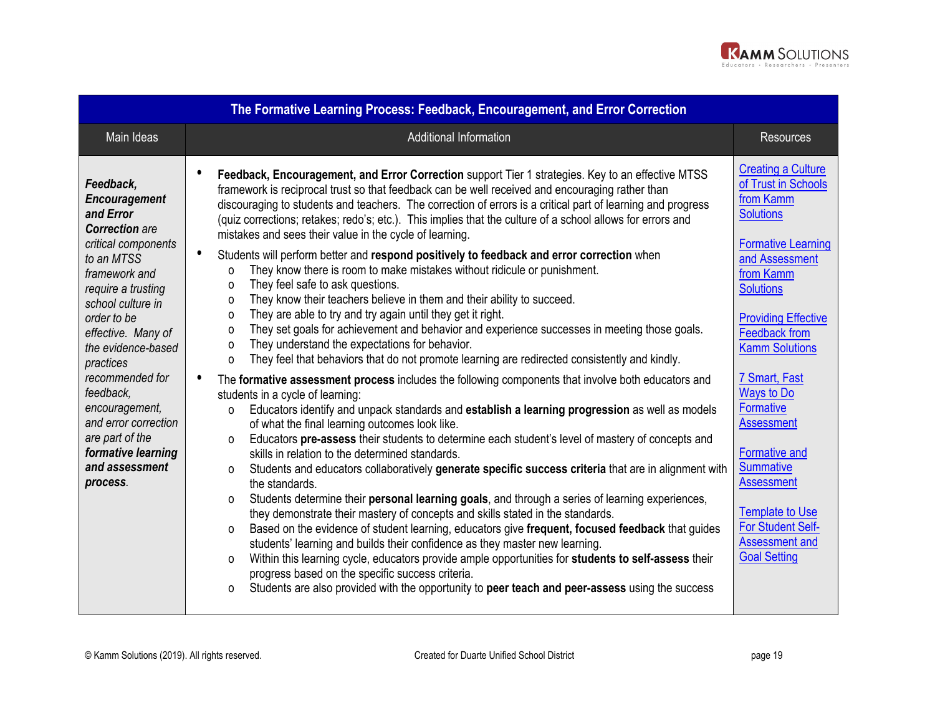

|                                                                                                                                                                                                                                                                                                                                                                                            | The Formative Learning Process: Feedback, Encouragement, and Error Correction                                                                                                                                                                                                                                                                                                                                                                                                                                                                                                                                                                                                                                                                                                                                                                                                                                                                                                                                                                                                                                                                                                                                                                                                                                                                                                                                                                                                                                                                                                                                                                                                                                                                                                                                                                                                                                                                                                                                                                                                                                                                                                                                                                                                                                                                                                                                                                                                                                                     |                                                                                                                                                                                                                                                                                                                                                                                                                                                                                                        |
|--------------------------------------------------------------------------------------------------------------------------------------------------------------------------------------------------------------------------------------------------------------------------------------------------------------------------------------------------------------------------------------------|-----------------------------------------------------------------------------------------------------------------------------------------------------------------------------------------------------------------------------------------------------------------------------------------------------------------------------------------------------------------------------------------------------------------------------------------------------------------------------------------------------------------------------------------------------------------------------------------------------------------------------------------------------------------------------------------------------------------------------------------------------------------------------------------------------------------------------------------------------------------------------------------------------------------------------------------------------------------------------------------------------------------------------------------------------------------------------------------------------------------------------------------------------------------------------------------------------------------------------------------------------------------------------------------------------------------------------------------------------------------------------------------------------------------------------------------------------------------------------------------------------------------------------------------------------------------------------------------------------------------------------------------------------------------------------------------------------------------------------------------------------------------------------------------------------------------------------------------------------------------------------------------------------------------------------------------------------------------------------------------------------------------------------------------------------------------------------------------------------------------------------------------------------------------------------------------------------------------------------------------------------------------------------------------------------------------------------------------------------------------------------------------------------------------------------------------------------------------------------------------------------------------------------------|--------------------------------------------------------------------------------------------------------------------------------------------------------------------------------------------------------------------------------------------------------------------------------------------------------------------------------------------------------------------------------------------------------------------------------------------------------------------------------------------------------|
| Main Ideas                                                                                                                                                                                                                                                                                                                                                                                 | Additional Information                                                                                                                                                                                                                                                                                                                                                                                                                                                                                                                                                                                                                                                                                                                                                                                                                                                                                                                                                                                                                                                                                                                                                                                                                                                                                                                                                                                                                                                                                                                                                                                                                                                                                                                                                                                                                                                                                                                                                                                                                                                                                                                                                                                                                                                                                                                                                                                                                                                                                                            | <b>Resources</b>                                                                                                                                                                                                                                                                                                                                                                                                                                                                                       |
| Feedback,<br>Encouragement<br>and Error<br><b>Correction</b> are<br>critical components<br>to an MTSS<br>framework and<br>require a trusting<br>school culture in<br>order to be<br>effective. Many of<br>the evidence-based<br>practices<br>recommended for<br>feedback,<br>encouragement,<br>and error correction<br>are part of the<br>formative learning<br>and assessment<br>process. | $\bullet$<br>Feedback, Encouragement, and Error Correction support Tier 1 strategies. Key to an effective MTSS<br>framework is reciprocal trust so that feedback can be well received and encouraging rather than<br>discouraging to students and teachers. The correction of errors is a critical part of learning and progress<br>(quiz corrections; retakes; redo's; etc.). This implies that the culture of a school allows for errors and<br>mistakes and sees their value in the cycle of learning.<br>$\bullet$<br>Students will perform better and respond positively to feedback and error correction when<br>They know there is room to make mistakes without ridicule or punishment.<br>$\Omega$<br>They feel safe to ask questions.<br>$\Omega$<br>They know their teachers believe in them and their ability to succeed.<br>$\Omega$<br>They are able to try and try again until they get it right.<br>$\Omega$<br>They set goals for achievement and behavior and experience successes in meeting those goals.<br>$\Omega$<br>They understand the expectations for behavior.<br>$\circ$<br>They feel that behaviors that do not promote learning are redirected consistently and kindly.<br>$\Omega$<br>$\bullet$<br>The formative assessment process includes the following components that involve both educators and<br>students in a cycle of learning:<br>Educators identify and unpack standards and establish a learning progression as well as models<br>$\Omega$<br>of what the final learning outcomes look like.<br>Educators pre-assess their students to determine each student's level of mastery of concepts and<br>O<br>skills in relation to the determined standards.<br>Students and educators collaboratively generate specific success criteria that are in alignment with<br>$\Omega$<br>the standards.<br>Students determine their personal learning goals, and through a series of learning experiences,<br>$\Omega$<br>they demonstrate their mastery of concepts and skills stated in the standards.<br>Based on the evidence of student learning, educators give frequent, focused feedback that guides<br>$\Omega$<br>students' learning and builds their confidence as they master new learning.<br>Within this learning cycle, educators provide ample opportunities for students to self-assess their<br>$\Omega$<br>progress based on the specific success criteria.<br>Students are also provided with the opportunity to peer teach and peer-assess using the success<br>$\Omega$ | <b>Creating a Culture</b><br>of Trust in Schools<br>from Kamm<br><b>Solutions</b><br><b>Formative Learning</b><br>and Assessment<br>from Kamm<br><b>Solutions</b><br><b>Providing Effective</b><br><b>Feedback from</b><br><b>Kamm Solutions</b><br>7 Smart, Fast<br><b>Ways to Do</b><br><b>Formative</b><br><b>Assessment</b><br><b>Formative and</b><br><b>Summative</b><br><b>Assessment</b><br><b>Template to Use</b><br><b>For Student Self-</b><br><b>Assessment and</b><br><b>Goal Setting</b> |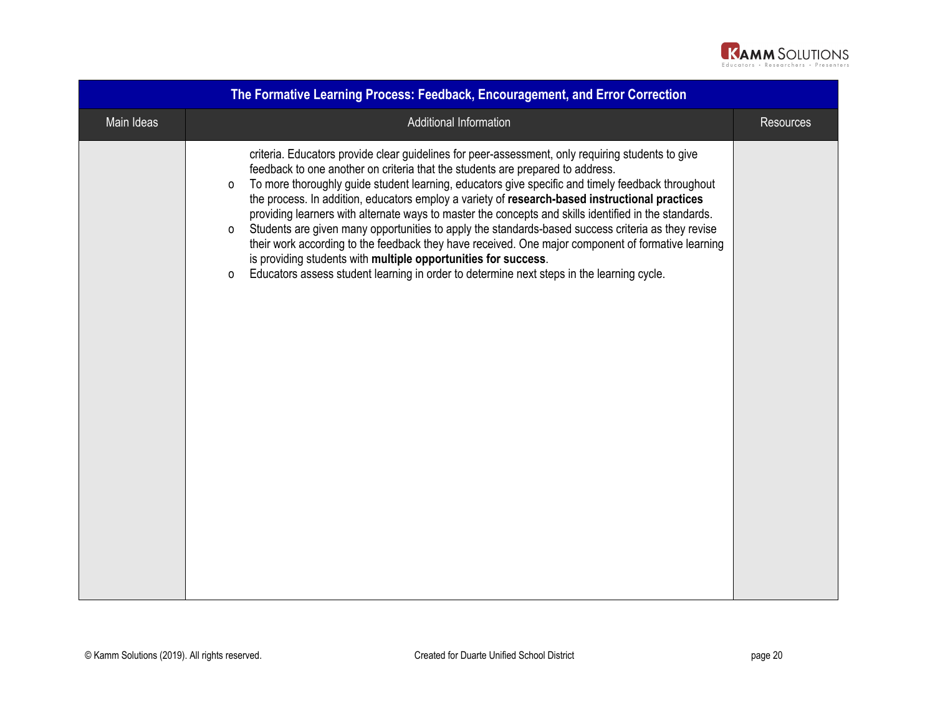

|            | The Formative Learning Process: Feedback, Encouragement, and Error Correction                                                                                                                                                                                                                                                                                                                                                                                                                                                                                                                                                                                                                                                                                                                                                                                                                 |                  |
|------------|-----------------------------------------------------------------------------------------------------------------------------------------------------------------------------------------------------------------------------------------------------------------------------------------------------------------------------------------------------------------------------------------------------------------------------------------------------------------------------------------------------------------------------------------------------------------------------------------------------------------------------------------------------------------------------------------------------------------------------------------------------------------------------------------------------------------------------------------------------------------------------------------------|------------------|
| Main Ideas | Additional Information                                                                                                                                                                                                                                                                                                                                                                                                                                                                                                                                                                                                                                                                                                                                                                                                                                                                        | <b>Resources</b> |
|            | criteria. Educators provide clear guidelines for peer-assessment, only requiring students to give<br>feedback to one another on criteria that the students are prepared to address.<br>To more thoroughly guide student learning, educators give specific and timely feedback throughout<br>O<br>the process. In addition, educators employ a variety of research-based instructional practices<br>providing learners with alternate ways to master the concepts and skills identified in the standards.<br>Students are given many opportunities to apply the standards-based success criteria as they revise<br>0<br>their work according to the feedback they have received. One major component of formative learning<br>is providing students with multiple opportunities for success.<br>Educators assess student learning in order to determine next steps in the learning cycle.<br>O |                  |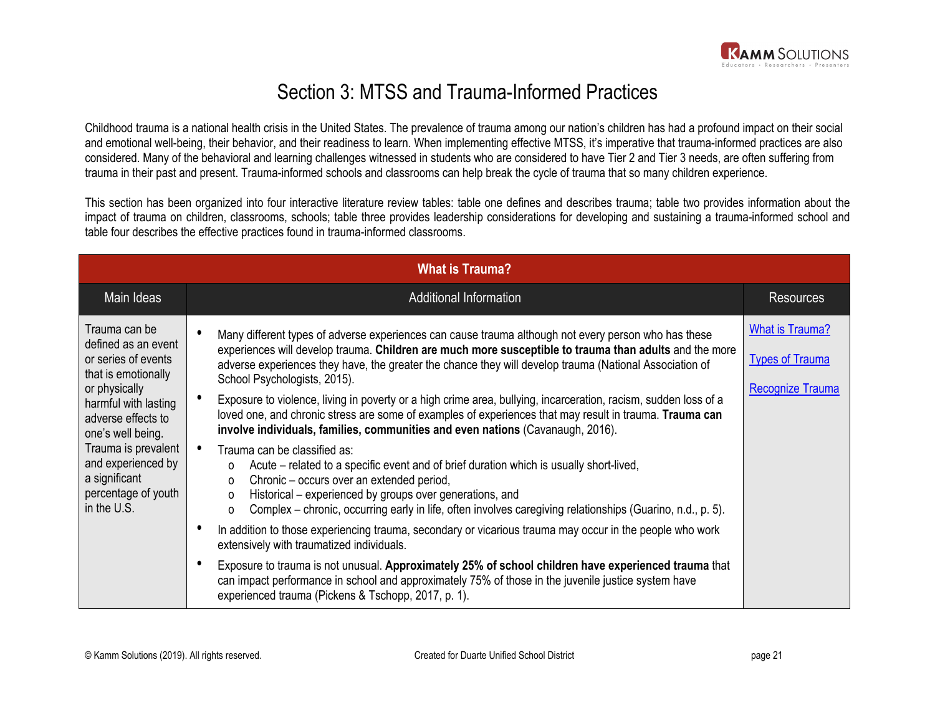

## Section 3: MTSS and Trauma-Informed Practices

Childhood trauma is a national health crisis in the United States. The prevalence of trauma among our nation's children has had a profound impact on their social and emotional well-being, their behavior, and their readiness to learn. When implementing effective MTSS, it's imperative that trauma-informed practices are also considered. Many of the behavioral and learning challenges witnessed in students who are considered to have Tier 2 and Tier 3 needs, are often suffering from trauma in their past and present. Trauma-informed schools and classrooms can help break the cycle of trauma that so many children experience.

This section has been organized into four interactive literature review tables: table one defines and describes trauma; table two provides information about the impact of trauma on children, classrooms, schools; table three provides leadership considerations for developing and sustaining a trauma-informed school and table four describes the effective practices found in trauma-informed classrooms.

|                                                                                                                                                                                                                                                                            | <b>What is Trauma?</b>                                                                                                                                                                                                                                                                                                                                                                                                                                                                                                                                                                                                                                                                                                                                                                                                                                                                                                                                                                                                                                                                                                                                      |                                                                             |
|----------------------------------------------------------------------------------------------------------------------------------------------------------------------------------------------------------------------------------------------------------------------------|-------------------------------------------------------------------------------------------------------------------------------------------------------------------------------------------------------------------------------------------------------------------------------------------------------------------------------------------------------------------------------------------------------------------------------------------------------------------------------------------------------------------------------------------------------------------------------------------------------------------------------------------------------------------------------------------------------------------------------------------------------------------------------------------------------------------------------------------------------------------------------------------------------------------------------------------------------------------------------------------------------------------------------------------------------------------------------------------------------------------------------------------------------------|-----------------------------------------------------------------------------|
| Main Ideas                                                                                                                                                                                                                                                                 | <b>Additional Information</b>                                                                                                                                                                                                                                                                                                                                                                                                                                                                                                                                                                                                                                                                                                                                                                                                                                                                                                                                                                                                                                                                                                                               | <b>Resources</b>                                                            |
| Trauma can be<br>defined as an event<br>or series of events<br>that is emotionally<br>or physically<br>harmful with lasting<br>adverse effects to<br>one's well being.<br>Trauma is prevalent<br>and experienced by<br>a significant<br>percentage of youth<br>in the U.S. | Many different types of adverse experiences can cause trauma although not every person who has these<br>experiences will develop trauma. Children are much more susceptible to trauma than adults and the more<br>adverse experiences they have, the greater the chance they will develop trauma (National Association of<br>School Psychologists, 2015).<br>Exposure to violence, living in poverty or a high crime area, bullying, incarceration, racism, sudden loss of a<br>loved one, and chronic stress are some of examples of experiences that may result in trauma. Trauma can<br>involve individuals, families, communities and even nations (Cavanaugh, 2016).<br>Trauma can be classified as:<br>Acute – related to a specific event and of brief duration which is usually short-lived,<br>0<br>Chronic – occurs over an extended period,<br>0<br>Historical – experienced by groups over generations, and<br>0<br>Complex – chronic, occurring early in life, often involves caregiving relationships (Guarino, n.d., p. 5).<br>0<br>In addition to those experiencing trauma, secondary or vicarious trauma may occur in the people who work | <b>What is Trauma?</b><br><b>Types of Trauma</b><br><b>Recognize Trauma</b> |
|                                                                                                                                                                                                                                                                            | extensively with traumatized individuals.<br>$\epsilon$<br>Exposure to trauma is not unusual. Approximately 25% of school children have experienced trauma that<br>can impact performance in school and approximately 75% of those in the juvenile justice system have<br>experienced trauma (Pickens & Tschopp, 2017, p. 1).                                                                                                                                                                                                                                                                                                                                                                                                                                                                                                                                                                                                                                                                                                                                                                                                                               |                                                                             |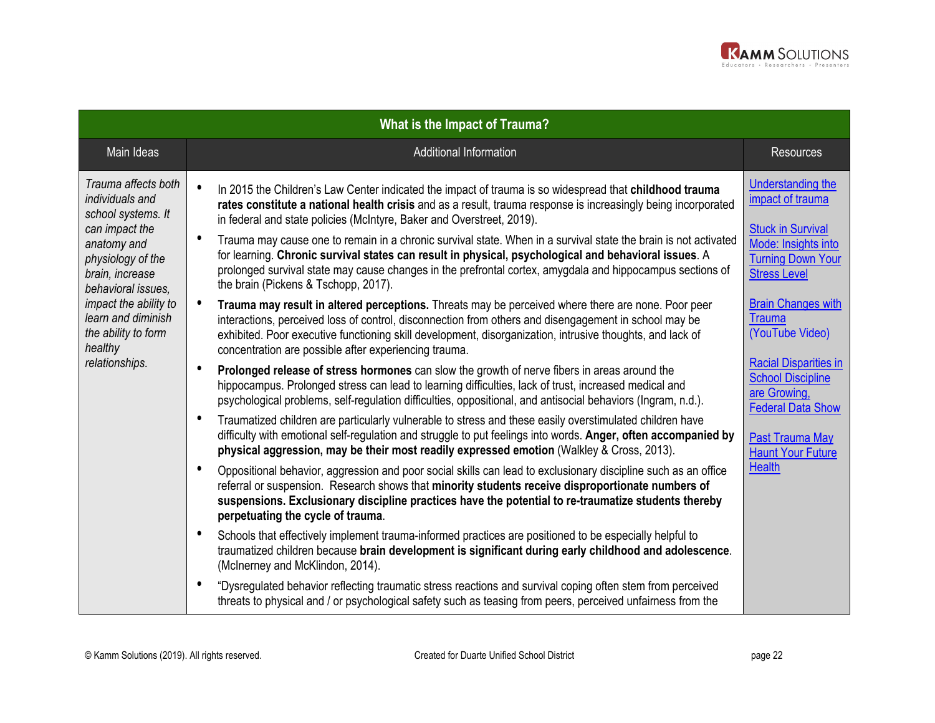

| <b>What is the Impact of Trauma?</b>                                                                                                                                                                                                                           |                                                                                                                                                                                                                                                                                                                                                                                                                                                                                                                                                                                                                                                                                                                                                                                                                                                                                                                                                                                                                                                                                                                                                                                                                                                                                                                                                                                                                                                                                                                                                                                                                                                                                                                                                                                                                                                                                                                                                                                                                                                                                                                                                                                                                                                                                                                                                                                                                                                                                                                                                                                                                                                                                            |                                                                                                                                                                                                                                                                                                                                                                                      |
|----------------------------------------------------------------------------------------------------------------------------------------------------------------------------------------------------------------------------------------------------------------|--------------------------------------------------------------------------------------------------------------------------------------------------------------------------------------------------------------------------------------------------------------------------------------------------------------------------------------------------------------------------------------------------------------------------------------------------------------------------------------------------------------------------------------------------------------------------------------------------------------------------------------------------------------------------------------------------------------------------------------------------------------------------------------------------------------------------------------------------------------------------------------------------------------------------------------------------------------------------------------------------------------------------------------------------------------------------------------------------------------------------------------------------------------------------------------------------------------------------------------------------------------------------------------------------------------------------------------------------------------------------------------------------------------------------------------------------------------------------------------------------------------------------------------------------------------------------------------------------------------------------------------------------------------------------------------------------------------------------------------------------------------------------------------------------------------------------------------------------------------------------------------------------------------------------------------------------------------------------------------------------------------------------------------------------------------------------------------------------------------------------------------------------------------------------------------------------------------------------------------------------------------------------------------------------------------------------------------------------------------------------------------------------------------------------------------------------------------------------------------------------------------------------------------------------------------------------------------------------------------------------------------------------------------------------------------------|--------------------------------------------------------------------------------------------------------------------------------------------------------------------------------------------------------------------------------------------------------------------------------------------------------------------------------------------------------------------------------------|
| Main Ideas                                                                                                                                                                                                                                                     | Additional Information                                                                                                                                                                                                                                                                                                                                                                                                                                                                                                                                                                                                                                                                                                                                                                                                                                                                                                                                                                                                                                                                                                                                                                                                                                                                                                                                                                                                                                                                                                                                                                                                                                                                                                                                                                                                                                                                                                                                                                                                                                                                                                                                                                                                                                                                                                                                                                                                                                                                                                                                                                                                                                                                     | <b>Resources</b>                                                                                                                                                                                                                                                                                                                                                                     |
| Trauma affects both<br>individuals and<br>school systems. It<br>can impact the<br>anatomy and<br>physiology of the<br>brain, increase<br>behavioral issues,<br>impact the ability to<br>learn and diminish<br>the ability to form<br>healthy<br>relationships. | $\bullet$<br>In 2015 the Children's Law Center indicated the impact of trauma is so widespread that childhood trauma<br>rates constitute a national health crisis and as a result, trauma response is increasingly being incorporated<br>in federal and state policies (McIntyre, Baker and Overstreet, 2019).<br>$\bullet$<br>Trauma may cause one to remain in a chronic survival state. When in a survival state the brain is not activated<br>for learning. Chronic survival states can result in physical, psychological and behavioral issues. A<br>prolonged survival state may cause changes in the prefrontal cortex, amygdala and hippocampus sections of<br>the brain (Pickens & Tschopp, 2017).<br>$\bullet$<br>Trauma may result in altered perceptions. Threats may be perceived where there are none. Poor peer<br>interactions, perceived loss of control, disconnection from others and disengagement in school may be<br>exhibited. Poor executive functioning skill development, disorganization, intrusive thoughts, and lack of<br>concentration are possible after experiencing trauma.<br>$\bullet$<br>Prolonged release of stress hormones can slow the growth of nerve fibers in areas around the<br>hippocampus. Prolonged stress can lead to learning difficulties, lack of trust, increased medical and<br>psychological problems, self-regulation difficulties, oppositional, and antisocial behaviors (Ingram, n.d.).<br>$\bullet$<br>Traumatized children are particularly vulnerable to stress and these easily overstimulated children have<br>difficulty with emotional self-regulation and struggle to put feelings into words. Anger, often accompanied by<br>physical aggression, may be their most readily expressed emotion (Walkley & Cross, 2013).<br>$\bullet$<br>Oppositional behavior, aggression and poor social skills can lead to exclusionary discipline such as an office<br>referral or suspension. Research shows that minority students receive disproportionate numbers of<br>suspensions. Exclusionary discipline practices have the potential to re-traumatize students thereby<br>perpetuating the cycle of trauma.<br>$\bullet$<br>Schools that effectively implement trauma-informed practices are positioned to be especially helpful to<br>traumatized children because brain development is significant during early childhood and adolescence.<br>(McInerney and McKlindon, 2014).<br>$\bullet$<br>"Dysregulated behavior reflecting traumatic stress reactions and survival coping often stem from perceived<br>threats to physical and / or psychological safety such as teasing from peers, perceived unfairness from the | Understanding the<br>impact of trauma<br><b>Stuck in Survival</b><br>Mode: Insights into<br><b>Turning Down Your</b><br><b>Stress Level</b><br><b>Brain Changes with</b><br><b>Trauma</b><br>(YouTube Video)<br><b>Racial Disparities in</b><br><b>School Discipline</b><br>are Growing,<br><b>Federal Data Show</b><br>Past Trauma May<br><b>Haunt Your Future</b><br><b>Health</b> |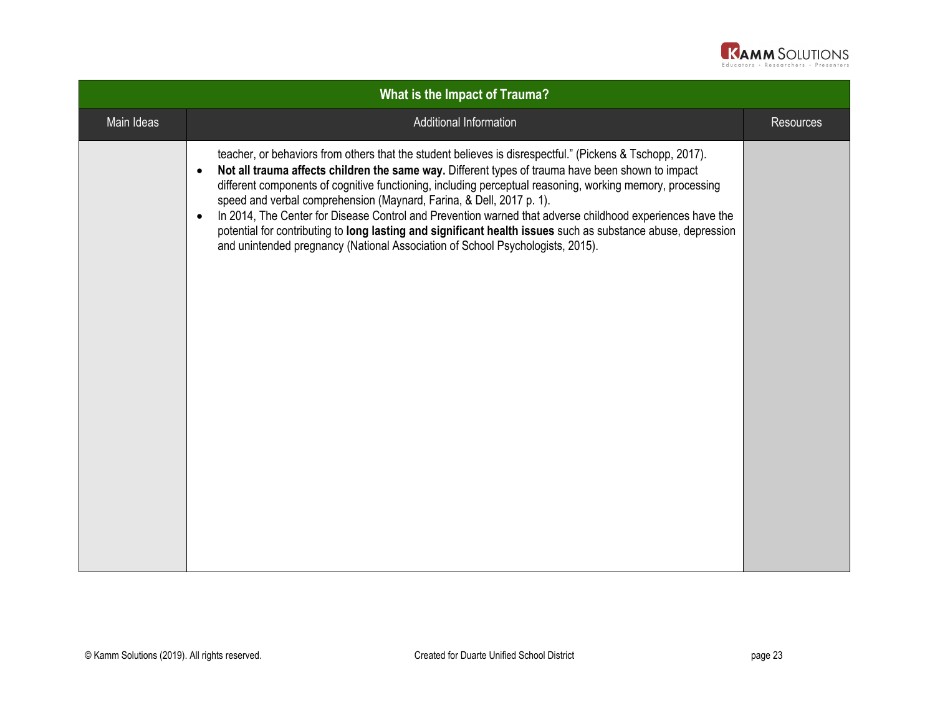

| What is the Impact of Trauma? |                                                                                                                                                                                                                                                                                                                                                                                                                                                                                                                                                                                                                                                                                                                                              |                  |
|-------------------------------|----------------------------------------------------------------------------------------------------------------------------------------------------------------------------------------------------------------------------------------------------------------------------------------------------------------------------------------------------------------------------------------------------------------------------------------------------------------------------------------------------------------------------------------------------------------------------------------------------------------------------------------------------------------------------------------------------------------------------------------------|------------------|
| Main Ideas                    | Additional Information                                                                                                                                                                                                                                                                                                                                                                                                                                                                                                                                                                                                                                                                                                                       | <b>Resources</b> |
|                               | teacher, or behaviors from others that the student believes is disrespectful." (Pickens & Tschopp, 2017).<br>Not all trauma affects children the same way. Different types of trauma have been shown to impact<br>$\bullet$<br>different components of cognitive functioning, including perceptual reasoning, working memory, processing<br>speed and verbal comprehension (Maynard, Farina, & Dell, 2017 p. 1).<br>In 2014, The Center for Disease Control and Prevention warned that adverse childhood experiences have the<br>$\bullet$<br>potential for contributing to long lasting and significant health issues such as substance abuse, depression<br>and unintended pregnancy (National Association of School Psychologists, 2015). |                  |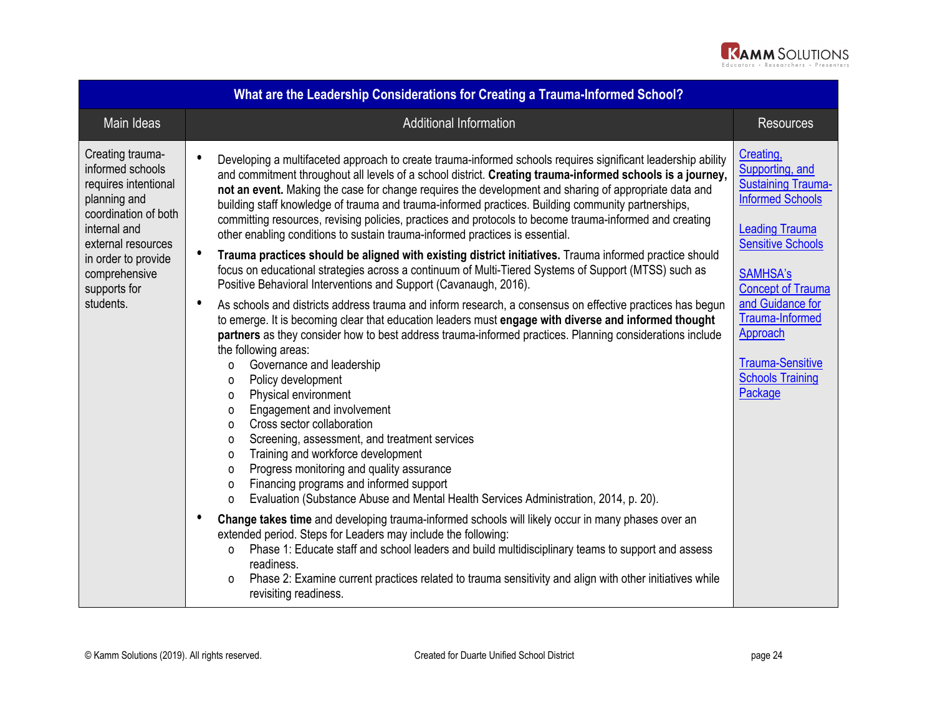

| What are the Leadership Considerations for Creating a Trauma-Informed School?                                                                                                                                   |                                                                                                                                                                                                                                                                                                                                                                                                                                                                                                                                                                                                                                                                                                                                                                                                                                                                                                                                                                                                                                                                                                                                                                                                                                                                                                                                                                                                                                                                                                                                                                                                                                                                                                                                                                                                                                                                                                                                                                                                                                                                                                                                                                                           |                                                                                                                                                                                                                                                                                                              |  |
|-----------------------------------------------------------------------------------------------------------------------------------------------------------------------------------------------------------------|-------------------------------------------------------------------------------------------------------------------------------------------------------------------------------------------------------------------------------------------------------------------------------------------------------------------------------------------------------------------------------------------------------------------------------------------------------------------------------------------------------------------------------------------------------------------------------------------------------------------------------------------------------------------------------------------------------------------------------------------------------------------------------------------------------------------------------------------------------------------------------------------------------------------------------------------------------------------------------------------------------------------------------------------------------------------------------------------------------------------------------------------------------------------------------------------------------------------------------------------------------------------------------------------------------------------------------------------------------------------------------------------------------------------------------------------------------------------------------------------------------------------------------------------------------------------------------------------------------------------------------------------------------------------------------------------------------------------------------------------------------------------------------------------------------------------------------------------------------------------------------------------------------------------------------------------------------------------------------------------------------------------------------------------------------------------------------------------------------------------------------------------------------------------------------------------|--------------------------------------------------------------------------------------------------------------------------------------------------------------------------------------------------------------------------------------------------------------------------------------------------------------|--|
| Main Ideas                                                                                                                                                                                                      | <b>Additional Information</b>                                                                                                                                                                                                                                                                                                                                                                                                                                                                                                                                                                                                                                                                                                                                                                                                                                                                                                                                                                                                                                                                                                                                                                                                                                                                                                                                                                                                                                                                                                                                                                                                                                                                                                                                                                                                                                                                                                                                                                                                                                                                                                                                                             | <b>Resources</b>                                                                                                                                                                                                                                                                                             |  |
| Creating trauma-<br>informed schools<br>requires intentional<br>planning and<br>coordination of both<br>internal and<br>external resources<br>in order to provide<br>comprehensive<br>supports for<br>students. | Developing a multifaceted approach to create trauma-informed schools requires significant leadership ability<br>and commitment throughout all levels of a school district. Creating trauma-informed schools is a journey,<br>not an event. Making the case for change requires the development and sharing of appropriate data and<br>building staff knowledge of trauma and trauma-informed practices. Building community partnerships,<br>committing resources, revising policies, practices and protocols to become trauma-informed and creating<br>other enabling conditions to sustain trauma-informed practices is essential.<br>Trauma practices should be aligned with existing district initiatives. Trauma informed practice should<br>focus on educational strategies across a continuum of Multi-Tiered Systems of Support (MTSS) such as<br>Positive Behavioral Interventions and Support (Cavanaugh, 2016).<br>As schools and districts address trauma and inform research, a consensus on effective practices has begun<br>to emerge. It is becoming clear that education leaders must engage with diverse and informed thought<br>partners as they consider how to best address trauma-informed practices. Planning considerations include<br>the following areas:<br>Governance and leadership<br>0<br>Policy development<br>0<br>Physical environment<br>0<br>Engagement and involvement<br>0<br>Cross sector collaboration<br>0<br>Screening, assessment, and treatment services<br>0<br>Training and workforce development<br>0<br>Progress monitoring and quality assurance<br>0<br>Financing programs and informed support<br>0<br>Evaluation (Substance Abuse and Mental Health Services Administration, 2014, p. 20).<br>0<br>Change takes time and developing trauma-informed schools will likely occur in many phases over an<br>extended period. Steps for Leaders may include the following:<br>Phase 1: Educate staff and school leaders and build multidisciplinary teams to support and assess<br>0<br>readiness.<br>Phase 2: Examine current practices related to trauma sensitivity and align with other initiatives while<br>0<br>revisiting readiness. | Creating,<br>Supporting, and<br><b>Sustaining Trauma-</b><br><b>Informed Schools</b><br><b>Leading Trauma</b><br><b>Sensitive Schools</b><br><b>SAMHSA's</b><br><b>Concept of Trauma</b><br>and Guidance for<br>Trauma-Informed<br>Approach<br><b>Trauma-Sensitive</b><br><b>Schools Training</b><br>Package |  |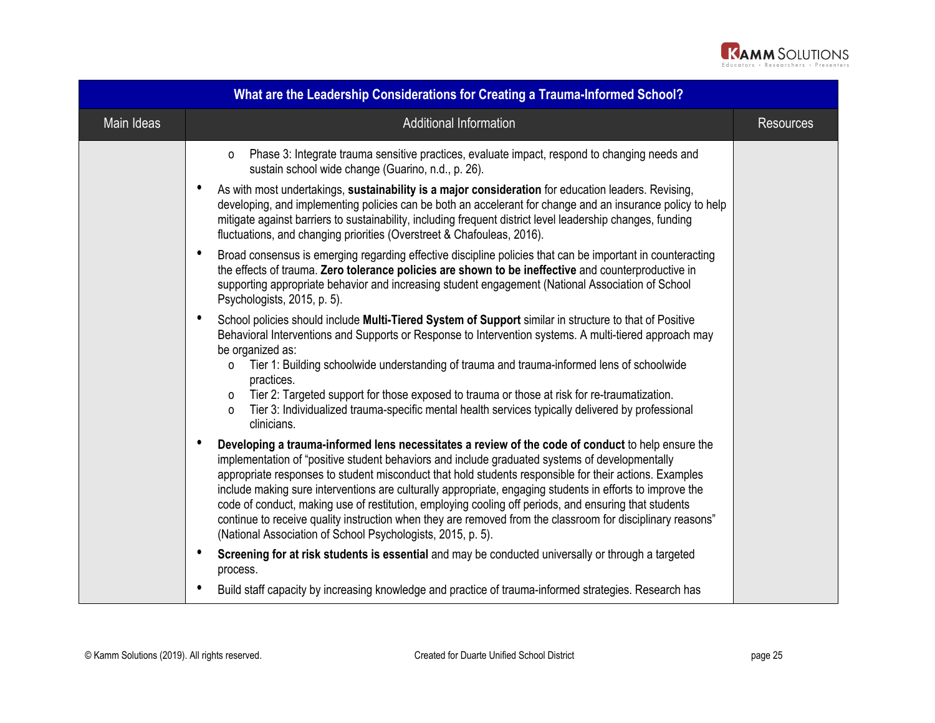

| What are the Leadership Considerations for Creating a Trauma-Informed School? |                                                                                                                                                                                                                                                                                                                                                                                                                                                                                                                                                                                                                                                                                                                               |                  |  |  |
|-------------------------------------------------------------------------------|-------------------------------------------------------------------------------------------------------------------------------------------------------------------------------------------------------------------------------------------------------------------------------------------------------------------------------------------------------------------------------------------------------------------------------------------------------------------------------------------------------------------------------------------------------------------------------------------------------------------------------------------------------------------------------------------------------------------------------|------------------|--|--|
| Main Ideas                                                                    | <b>Additional Information</b>                                                                                                                                                                                                                                                                                                                                                                                                                                                                                                                                                                                                                                                                                                 | <b>Resources</b> |  |  |
|                                                                               | Phase 3: Integrate trauma sensitive practices, evaluate impact, respond to changing needs and<br>$\Omega$<br>sustain school wide change (Guarino, n.d., p. 26).                                                                                                                                                                                                                                                                                                                                                                                                                                                                                                                                                               |                  |  |  |
|                                                                               | $\bullet$<br>As with most undertakings, sustainability is a major consideration for education leaders. Revising,<br>developing, and implementing policies can be both an accelerant for change and an insurance policy to help<br>mitigate against barriers to sustainability, including frequent district level leadership changes, funding<br>fluctuations, and changing priorities (Overstreet & Chafouleas, 2016).                                                                                                                                                                                                                                                                                                        |                  |  |  |
|                                                                               | $\bullet$<br>Broad consensus is emerging regarding effective discipline policies that can be important in counteracting<br>the effects of trauma. Zero tolerance policies are shown to be ineffective and counterproductive in<br>supporting appropriate behavior and increasing student engagement (National Association of School<br>Psychologists, 2015, p. 5).                                                                                                                                                                                                                                                                                                                                                            |                  |  |  |
|                                                                               | School policies should include Multi-Tiered System of Support similar in structure to that of Positive<br>٠<br>Behavioral Interventions and Supports or Response to Intervention systems. A multi-tiered approach may<br>be organized as:<br>Tier 1: Building schoolwide understanding of trauma and trauma-informed lens of schoolwide<br>$\Omega$<br>practices.<br>Tier 2: Targeted support for those exposed to trauma or those at risk for re-traumatization.<br>$\Omega$                                                                                                                                                                                                                                                 |                  |  |  |
|                                                                               | Tier 3: Individualized trauma-specific mental health services typically delivered by professional<br>$\Omega$<br>clinicians.                                                                                                                                                                                                                                                                                                                                                                                                                                                                                                                                                                                                  |                  |  |  |
|                                                                               | Developing a trauma-informed lens necessitates a review of the code of conduct to help ensure the<br>$\bullet$<br>implementation of "positive student behaviors and include graduated systems of developmentally<br>appropriate responses to student misconduct that hold students responsible for their actions. Examples<br>include making sure interventions are culturally appropriate, engaging students in efforts to improve the<br>code of conduct, making use of restitution, employing cooling off periods, and ensuring that students<br>continue to receive quality instruction when they are removed from the classroom for disciplinary reasons"<br>(National Association of School Psychologists, 2015, p. 5). |                  |  |  |
|                                                                               | $\bullet$<br>Screening for at risk students is essential and may be conducted universally or through a targeted<br>process.                                                                                                                                                                                                                                                                                                                                                                                                                                                                                                                                                                                                   |                  |  |  |
|                                                                               | $\bullet$<br>Build staff capacity by increasing knowledge and practice of trauma-informed strategies. Research has                                                                                                                                                                                                                                                                                                                                                                                                                                                                                                                                                                                                            |                  |  |  |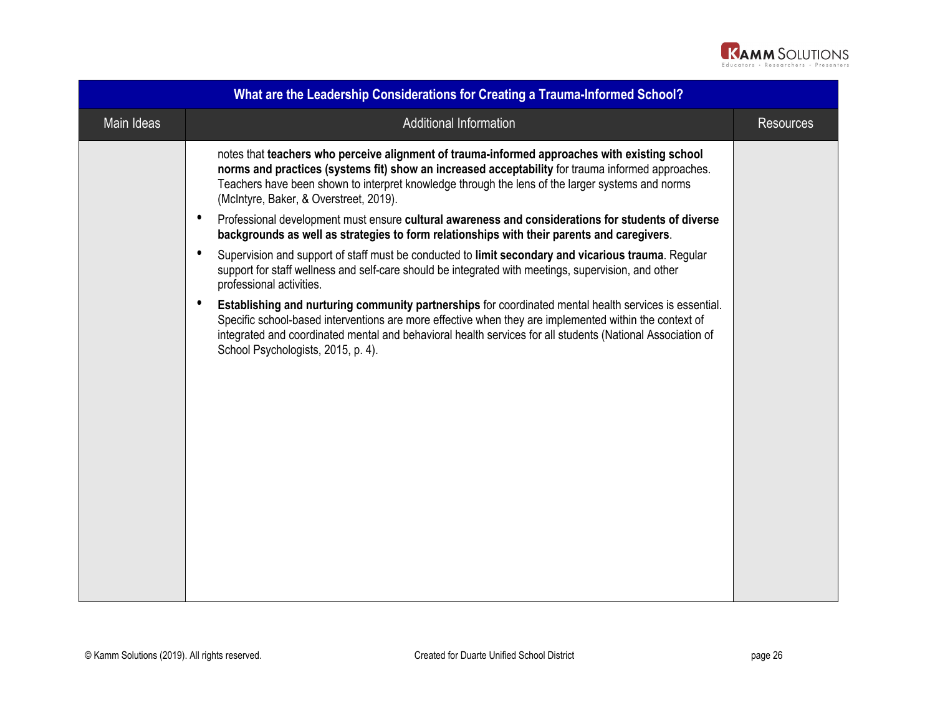

| What are the Leadership Considerations for Creating a Trauma-Informed School? |                                                                                                                                                                                                                                                                                                                                                                      |                  |  |  |
|-------------------------------------------------------------------------------|----------------------------------------------------------------------------------------------------------------------------------------------------------------------------------------------------------------------------------------------------------------------------------------------------------------------------------------------------------------------|------------------|--|--|
| Main Ideas                                                                    | <b>Additional Information</b>                                                                                                                                                                                                                                                                                                                                        | <b>Resources</b> |  |  |
|                                                                               | notes that teachers who perceive alignment of trauma-informed approaches with existing school<br>norms and practices (systems fit) show an increased acceptability for trauma informed approaches.<br>Teachers have been shown to interpret knowledge through the lens of the larger systems and norms<br>(McIntyre, Baker, & Overstreet, 2019).                     |                  |  |  |
| $\bullet$                                                                     | Professional development must ensure cultural awareness and considerations for students of diverse<br>backgrounds as well as strategies to form relationships with their parents and caregivers.                                                                                                                                                                     |                  |  |  |
| $\bullet$                                                                     | Supervision and support of staff must be conducted to limit secondary and vicarious trauma. Regular<br>support for staff wellness and self-care should be integrated with meetings, supervision, and other<br>professional activities.                                                                                                                               |                  |  |  |
| $\bullet$                                                                     | Establishing and nurturing community partnerships for coordinated mental health services is essential.<br>Specific school-based interventions are more effective when they are implemented within the context of<br>integrated and coordinated mental and behavioral health services for all students (National Association of<br>School Psychologists, 2015, p. 4). |                  |  |  |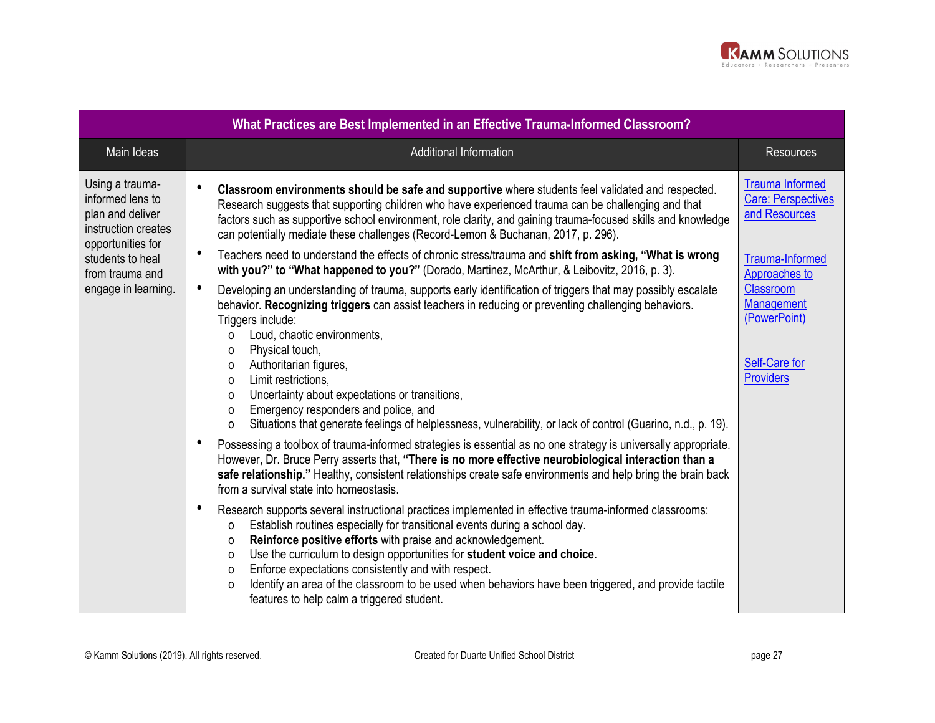

| What Practices are Best Implemented in an Effective Trauma-Informed Classroom?                                                                                    |                                                                                                                                                                                                                                                                                                                                                                                                                                                                                                                                                                                                                                  |                                                                                     |  |  |  |
|-------------------------------------------------------------------------------------------------------------------------------------------------------------------|----------------------------------------------------------------------------------------------------------------------------------------------------------------------------------------------------------------------------------------------------------------------------------------------------------------------------------------------------------------------------------------------------------------------------------------------------------------------------------------------------------------------------------------------------------------------------------------------------------------------------------|-------------------------------------------------------------------------------------|--|--|--|
| Main Ideas                                                                                                                                                        | <b>Additional Information</b>                                                                                                                                                                                                                                                                                                                                                                                                                                                                                                                                                                                                    | <b>Resources</b>                                                                    |  |  |  |
| Using a trauma-<br>informed lens to<br>plan and deliver<br>instruction creates<br>opportunities for<br>students to heal<br>from trauma and<br>engage in learning. | Classroom environments should be safe and supportive where students feel validated and respected.<br>Research suggests that supporting children who have experienced trauma can be challenging and that<br>factors such as supportive school environment, role clarity, and gaining trauma-focused skills and knowledge<br>can potentially mediate these challenges (Record-Lemon & Buchanan, 2017, p. 296).                                                                                                                                                                                                                     | <b>Trauma Informed</b><br><b>Care: Perspectives</b><br>and Resources                |  |  |  |
|                                                                                                                                                                   | Teachers need to understand the effects of chronic stress/trauma and shift from asking, "What is wrong<br>with you?" to "What happened to you?" (Dorado, Martinez, McArthur, & Leibovitz, 2016, p. 3).                                                                                                                                                                                                                                                                                                                                                                                                                           | Trauma-Informed<br>Approaches to                                                    |  |  |  |
|                                                                                                                                                                   | $\bullet$<br>Developing an understanding of trauma, supports early identification of triggers that may possibly escalate<br>behavior. Recognizing triggers can assist teachers in reducing or preventing challenging behaviors.<br>Triggers include:<br>Loud, chaotic environments,<br>$\Omega$<br>Physical touch,<br>0<br>Authoritarian figures,<br>0<br>Limit restrictions,<br>$\Omega$<br>Uncertainty about expectations or transitions,<br>$\Omega$<br>Emergency responders and police, and<br>$\Omega$<br>Situations that generate feelings of helplessness, vulnerability, or lack of control (Guarino, n.d., p. 19).<br>O | Classroom<br><b>Management</b><br>(PowerPoint)<br>Self-Care for<br><b>Providers</b> |  |  |  |
|                                                                                                                                                                   | $\bullet$<br>Possessing a toolbox of trauma-informed strategies is essential as no one strategy is universally appropriate.<br>However, Dr. Bruce Perry asserts that, "There is no more effective neurobiological interaction than a<br>safe relationship." Healthy, consistent relationships create safe environments and help bring the brain back<br>from a survival state into homeostasis.                                                                                                                                                                                                                                  |                                                                                     |  |  |  |
|                                                                                                                                                                   | $\bullet$<br>Research supports several instructional practices implemented in effective trauma-informed classrooms:<br>Establish routines especially for transitional events during a school day.<br>O<br>Reinforce positive efforts with praise and acknowledgement.<br>$\Omega$<br>Use the curriculum to design opportunities for student voice and choice.<br>$\Omega$<br>Enforce expectations consistently and with respect.<br>$\Omega$<br>Identify an area of the classroom to be used when behaviors have been triggered, and provide tactile<br>O<br>features to help calm a triggered student.                          |                                                                                     |  |  |  |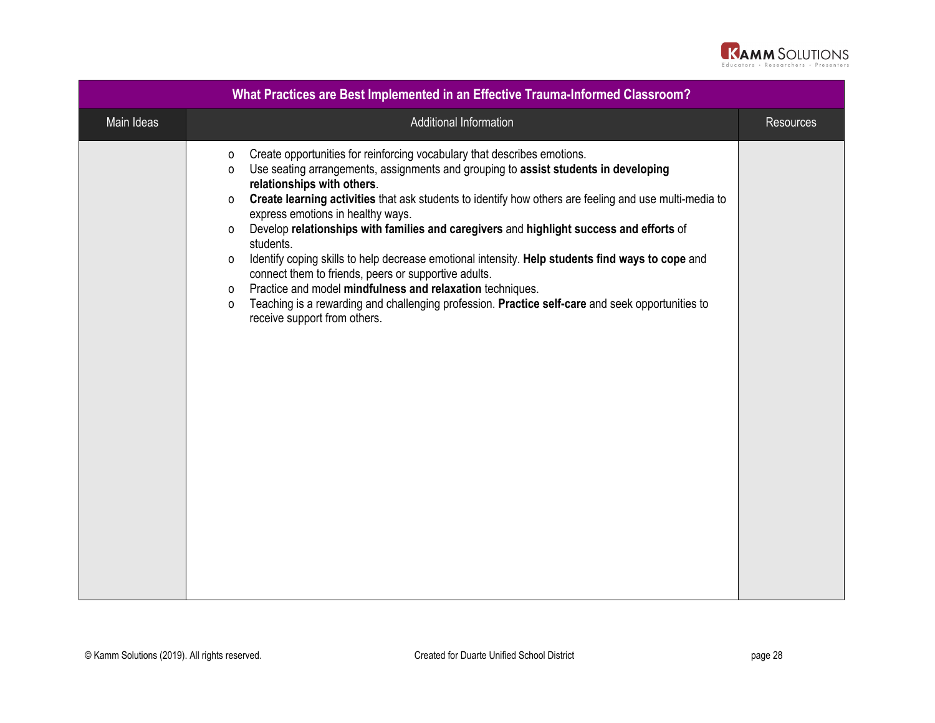

| What Practices are Best Implemented in an Effective Trauma-Informed Classroom? |                                                                                                                                                                                                                                                                                                                                                                                                                                                                                                                                                                                                                                                                                                                                                                                                                                                                           |                  |  |  |
|--------------------------------------------------------------------------------|---------------------------------------------------------------------------------------------------------------------------------------------------------------------------------------------------------------------------------------------------------------------------------------------------------------------------------------------------------------------------------------------------------------------------------------------------------------------------------------------------------------------------------------------------------------------------------------------------------------------------------------------------------------------------------------------------------------------------------------------------------------------------------------------------------------------------------------------------------------------------|------------------|--|--|
| Main Ideas                                                                     | Additional Information                                                                                                                                                                                                                                                                                                                                                                                                                                                                                                                                                                                                                                                                                                                                                                                                                                                    | <b>Resources</b> |  |  |
|                                                                                | Create opportunities for reinforcing vocabulary that describes emotions.<br>0<br>Use seating arrangements, assignments and grouping to assist students in developing<br>$\Omega$<br>relationships with others.<br>Create learning activities that ask students to identify how others are feeling and use multi-media to<br>0<br>express emotions in healthy ways.<br>Develop relationships with families and caregivers and highlight success and efforts of<br>0<br>students.<br>Identify coping skills to help decrease emotional intensity. Help students find ways to cope and<br>$\Omega$<br>connect them to friends, peers or supportive adults.<br>Practice and model mindfulness and relaxation techniques.<br>0<br>Teaching is a rewarding and challenging profession. Practice self-care and seek opportunities to<br>$\Omega$<br>receive support from others. |                  |  |  |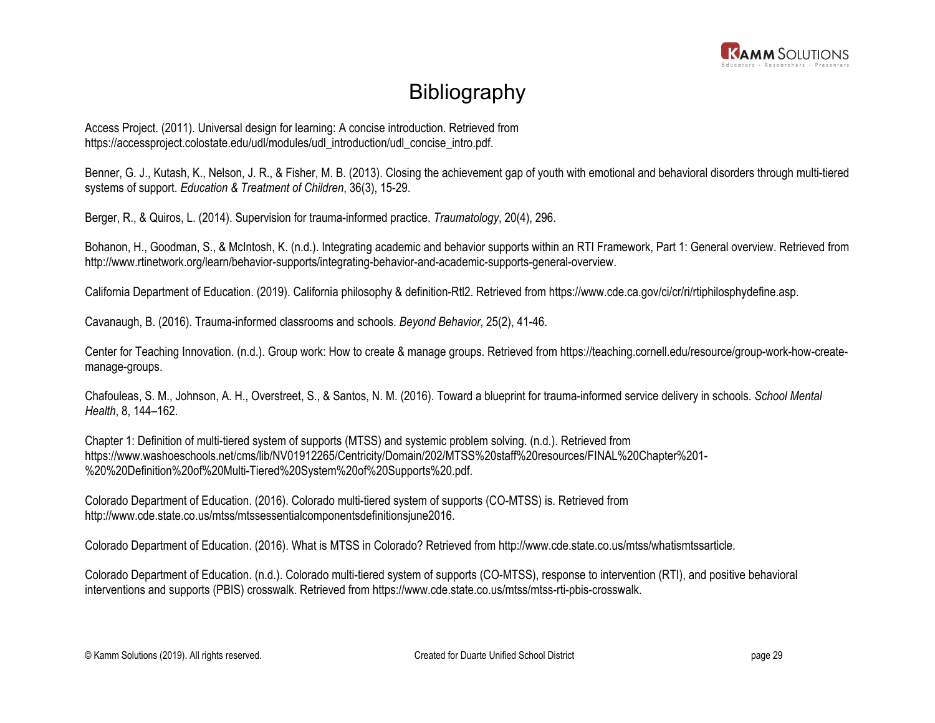

## **Bibliography**

Access Project. (2011). Universal design for learning: A concise introduction. Retrieved from https://accessproject.colostate.edu/udl/modules/udl\_introduction/udl\_concise\_intro.pdf.

Benner, G. J., Kutash, K., Nelson, J. R., & Fisher, M. B. (2013). Closing the achievement gap of youth with emotional and behavioral disorders through multi-tiered systems of support. *Education & Treatment of Children*, 36(3), 15-29.

Berger, R., & Quiros, L. (2014). Supervision for trauma-informed practice. *Traumatology*, 20(4), 296.

Bohanon, H., Goodman, S., & McIntosh, K. (n.d.). Integrating academic and behavior supports within an RTI Framework, Part 1: General overview. Retrieved from http://www.rtinetwork.org/learn/behavior-supports/integrating-behavior-and-academic-supports-general-overview.

California Department of Education. (2019). California philosophy & definition-Rtl2. Retrieved from https://www.cde.ca.gov/ci/cr/ri/rtiphilosphydefine.asp.

Cavanaugh, B. (2016). Trauma-informed classrooms and schools. *Beyond Behavior*, 25(2), 41-46.

Center for Teaching Innovation. (n.d.). Group work: How to create & manage groups. Retrieved from https://teaching.cornell.edu/resource/group-work-how-createmanage-groups.

Chafouleas, S. M., Johnson, A. H., Overstreet, S., & Santos, N. M. (2016). Toward a blueprint for trauma-informed service delivery in schools. *School Mental Health*, 8, 144–162.

Chapter 1: Definition of multi-tiered system of supports (MTSS) and systemic problem solving. (n.d.). Retrieved from https://www.washoeschools.net/cms/lib/NV01912265/Centricity/Domain/202/MTSS%20staff%20resources/FINAL%20Chapter%201- %20%20Definition%20of%20Multi-Tiered%20System%20of%20Supports%20.pdf.

Colorado Department of Education. (2016). Colorado multi-tiered system of supports (CO-MTSS) is. Retrieved from http://www.cde.state.co.us/mtss/mtssessentialcomponentsdefinitionsjune2016.

Colorado Department of Education. (2016). What is MTSS in Colorado? Retrieved from http://www.cde.state.co.us/mtss/whatismtssarticle.

Colorado Department of Education. (n.d.). Colorado multi-tiered system of supports (CO-MTSS), response to intervention (RTI), and positive behavioral interventions and supports (PBIS) crosswalk. Retrieved from https://www.cde.state.co.us/mtss/mtss-rti-pbis-crosswalk.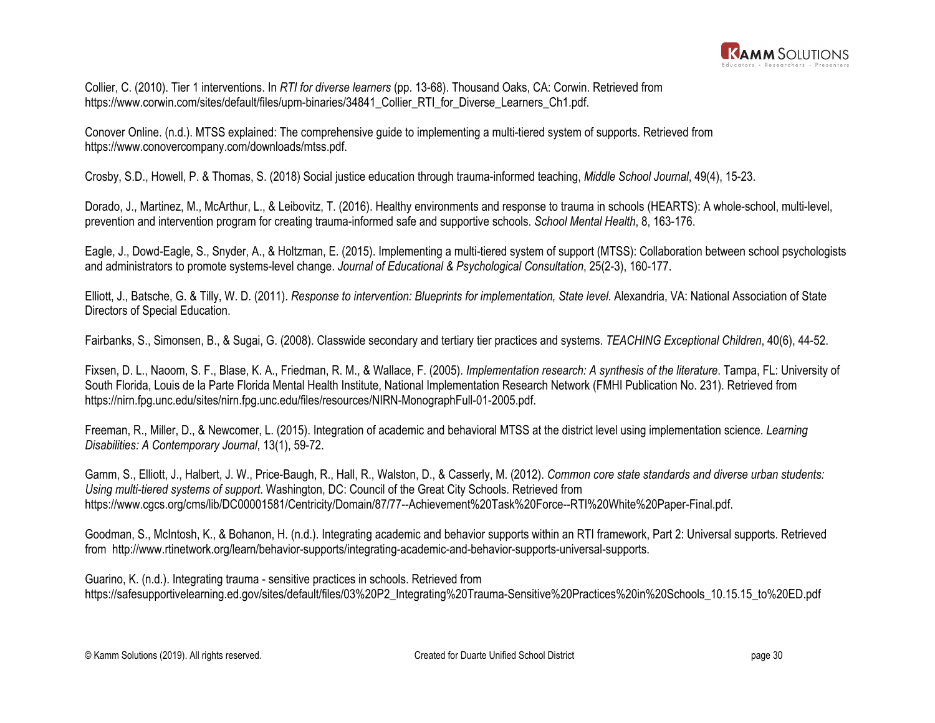

Collier, C. (2010). Tier 1 interventions. In *RTI for diverse learners* (pp. 13-68). Thousand Oaks, CA: Corwin. Retrieved from https://www.corwin.com/sites/default/files/upm-binaries/34841\_Collier\_RTI\_for\_Diverse\_Learners\_Ch1.pdf.

Conover Online. (n.d.). MTSS explained: The comprehensive guide to implementing a multi-tiered system of supports. Retrieved from https://www.conovercompany.com/downloads/mtss.pdf.

Crosby, S.D., Howell, P. & Thomas, S. (2018) Social justice education through trauma-informed teaching, *Middle School Journal*, 49(4), 15-23.

Dorado, J., Martinez, M., McArthur, L., & Leibovitz, T. (2016). Healthy environments and response to trauma in schools (HEARTS): A whole-school, multi-level, prevention and intervention program for creating trauma-informed safe and supportive schools. *School Mental Health*, 8, 163-176.

Eagle, J., Dowd-Eagle, S., Snyder, A., & Holtzman, E. (2015). Implementing a multi-tiered system of support (MTSS): Collaboration between school psychologists and administrators to promote systems-level change. *Journal of Educational & Psychological Consultation*, 25(2-3), 160-177.

Elliott, J., Batsche, G. & Tilly, W. D. (2011). *Response to intervention: Blueprints for implementation, State level*. Alexandria, VA: National Association of State Directors of Special Education.

Fairbanks, S., Simonsen, B., & Sugai, G. (2008). Classwide secondary and tertiary tier practices and systems. *TEACHING Exceptional Children*, 40(6), 44-52.

Fixsen, D. L., Naoom, S. F., Blase, K. A., Friedman, R. M., & Wallace, F. (2005). *Implementation research: A synthesis of the literature*. Tampa, FL: University of South Florida, Louis de la Parte Florida Mental Health Institute, National Implementation Research Network (FMHI Publication No. 231). Retrieved from https://nirn.fpg.unc.edu/sites/nirn.fpg.unc.edu/files/resources/NIRN-MonographFull-01-2005.pdf.

Freeman, R., Miller, D., & Newcomer, L. (2015). Integration of academic and behavioral MTSS at the district level using implementation science. *Learning Disabilities: A Contemporary Journal*, 13(1), 59-72.

Gamm, S., Elliott, J., Halbert, J. W., Price-Baugh, R., Hall, R., Walston, D., & Casserly, M. (2012). *Common core state standards and diverse urban students: Using multi-tiered systems of support*. Washington, DC: Council of the Great City Schools. Retrieved from https://www.cgcs.org/cms/lib/DC00001581/Centricity/Domain/87/77--Achievement%20Task%20Force--RTI%20White%20Paper-Final.pdf.

Goodman, S., McIntosh, K., & Bohanon, H. (n.d.). Integrating academic and behavior supports within an RTI framework, Part 2: Universal supports. Retrieved from http://www.rtinetwork.org/learn/behavior-supports/integrating-academic-and-behavior-supports-universal-supports.

Guarino, K. (n.d.). Integrating trauma - sensitive practices in schools. Retrieved from https://safesupportivelearning.ed.gov/sites/default/files/03%20P2\_Integrating%20Trauma-Sensitive%20Practices%20in%20Schools\_10.15.15\_to%20ED.pdf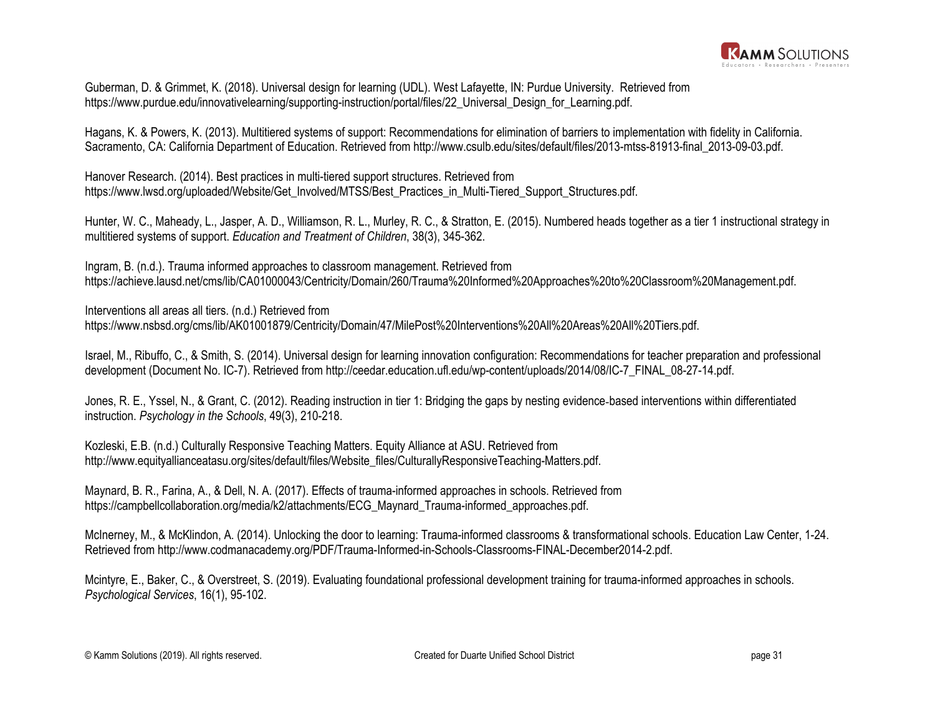

Guberman, D. & Grimmet, K. (2018). Universal design for learning (UDL). West Lafayette, IN: Purdue University. Retrieved from https://www.purdue.edu/innovativelearning/supporting-instruction/portal/files/22\_Universal\_Design\_for\_Learning.pdf.

Hagans, K. & Powers, K. (2013). Multitiered systems of support: Recommendations for elimination of barriers to implementation with fidelity in California. Sacramento, CA: California Department of Education. Retrieved from [http://www.csulb.edu/sites/default/files/2013-mtss-81913-final\\_2013-09-03.pdf](http://www.csulb.edu/sites/default/files/2013-mtss-81913-final_2013-09-03.pdf).

Hanover Research. (2014). Best practices in multi-tiered support structures. Retrieved from https://www.lwsd.org/uploaded/Website/Get\_Involved/MTSS/Best\_Practices\_in\_Multi-Tiered\_Support\_Structures.pdf.

Hunter, W. C., Maheady, L., Jasper, A. D., Williamson, R. L., Murley, R. C., & Stratton, E. (2015). Numbered heads together as a tier 1 instructional strategy in multitiered systems of support. *Education and Treatment of Children*, 38(3), 345-362.

Ingram, B. (n.d.). Trauma informed approaches to classroom management. Retrieved from https://achieve.lausd.net/cms/lib/CA01000043/Centricity/Domain/260/Trauma%20Informed%20Approaches%20to%20Classroom%20Management.pdf.

Interventions all areas all tiers. (n.d.) Retrieved from https://www.nsbsd.org/cms/lib/AK01001879/Centricity/Domain/47/MilePost%20Interventions%20All%20Areas%20All%20Tiers.pdf.

Israel, M., Ribuffo, C., & Smith, S. (2014). Universal design for learning innovation configuration: Recommendations for teacher preparation and professional development (Document No. IC-7). Retrieved from http://ceedar.education.ufl.edu/wp-content/uploads/2014/08/IC-7\_FINAL\_08-27-14.pdf.

Jones, R. E., Yssel, N., & Grant, C. (2012). Reading instruction in tier 1: Bridging the gaps by nesting evidence-based interventions within differentiated instruction. *Psychology in the Schools*, 49(3), 210-218.

Kozleski, E.B. (n.d.) Culturally Responsive Teaching Matters. Equity Alliance at ASU. Retrieved from http://www.equityallianceatasu.org/sites/default/files/Website\_files/CulturallyResponsiveTeaching-Matters.pdf.

Maynard, B. R., Farina, A., & Dell, N. A. (2017). Effects of trauma-informed approaches in schools. Retrieved from https://campbellcollaboration.org/media/k2/attachments/ECG\_Maynard\_Trauma-informed\_approaches.pdf.

McInerney, M., & McKlindon, A. (2014). Unlocking the door to learning: Trauma-informed classrooms & transformational schools. Education Law Center, 1-24. Retrieved from http://www.codmanacademy.org/PDF/Trauma-Informed-in-Schools-Classrooms-FINAL-December2014-2.pdf.

Mcintyre, E., Baker, C., & Overstreet, S. (2019). Evaluating foundational professional development training for trauma-informed approaches in schools. *Psychological Services*, 16(1), 95-102.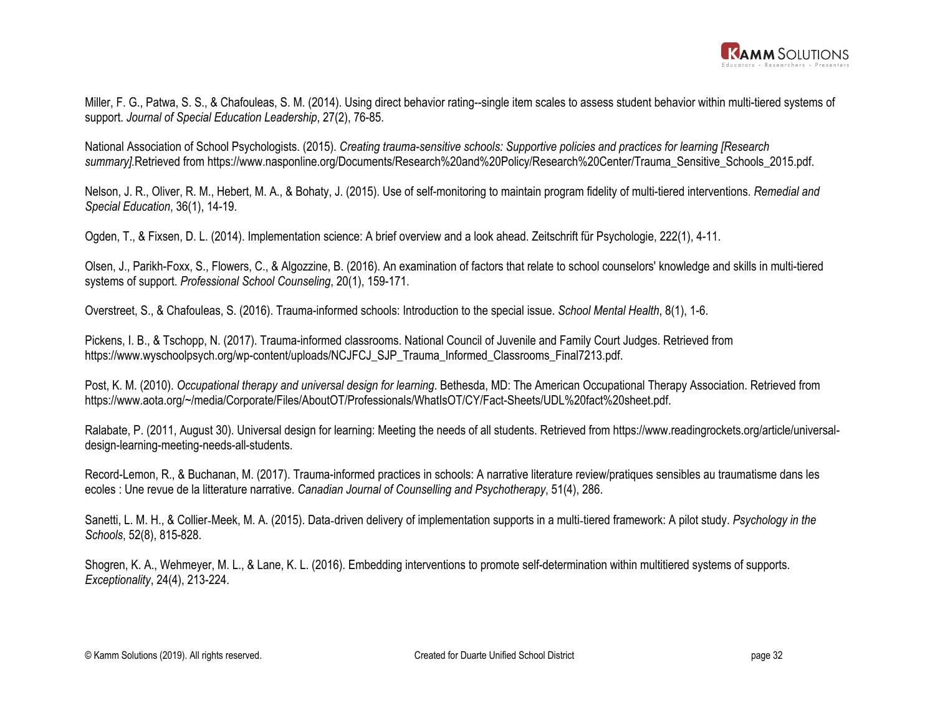

Miller, F. G., Patwa, S. S., & Chafouleas, S. M. (2014). Using direct behavior rating--single item scales to assess student behavior within multi-tiered systems of support. *Journal of Special Education Leadership*, 27(2), 76-85.

National Association of School Psychologists. (2015). *Creating trauma-sensitive schools: Supportive policies and practices for learning [Research*  summary].Retrieved from https://www.nasponline.org/Documents/Research%20and%20Policy/Research%20Center/Trauma\_Sensitive\_Schools\_2015.pdf.

Nelson, J. R., Oliver, R. M., Hebert, M. A., & Bohaty, J. (2015). Use of self-monitoring to maintain program fidelity of multi-tiered interventions. *Remedial and Special Education*, 36(1), 14-19.

Ogden, T., & Fixsen, D. L. (2014). Implementation science: A brief overview and a look ahead. Zeitschrift für Psychologie, 222(1), 4-11.

Olsen, J., Parikh-Foxx, S., Flowers, C., & Algozzine, B. (2016). An examination of factors that relate to school counselors' knowledge and skills in multi-tiered systems of support. *Professional School Counseling*, 20(1), 159-171.

Overstreet, S., & Chafouleas, S. (2016). Trauma-informed schools: Introduction to the special issue. *School Mental Health*, 8(1), 1-6.

Pickens, I. B., & Tschopp, N. (2017). Trauma-informed classrooms. National Council of Juvenile and Family Court Judges. Retrieved from https://www.wyschoolpsych.org/wp-content/uploads/NCJFCJ\_SJP\_Trauma\_Informed\_Classrooms\_Final7213.pdf.

Post, K. M. (2010). *Occupational therapy and universal design for learning*. Bethesda, MD: The American Occupational Therapy Association. Retrieved from https://www.aota.org/~/media/Corporate/Files/AboutOT/Professionals/WhatIsOT/CY/Fact-Sheets/UDL%20fact%20sheet.pdf.

Ralabate, P. (2011, August 30). Universal design for learning: Meeting the needs of all students. Retrieved from https://www.readingrockets.org/article/universaldesign-learning-meeting-needs-all-students.

Record-Lemon, R., & Buchanan, M. (2017). Trauma-informed practices in schools: A narrative literature review/pratiques sensibles au traumatisme dans les ecoles : Une revue de la litterature narrative. *Canadian Journal of Counselling and Psychotherapy*, 51(4), 286.

Sanetti, L. M. H., & Collier‐Meek, M. A. (2015). Data‐driven delivery of implementation supports in a multi‐tiered framework: A pilot study. *Psychology in the Schools*, 52(8), 815-828.

Shogren, K. A., Wehmeyer, M. L., & Lane, K. L. (2016). Embedding interventions to promote self-determination within multitiered systems of supports. *Exceptionality*, 24(4), 213-224.